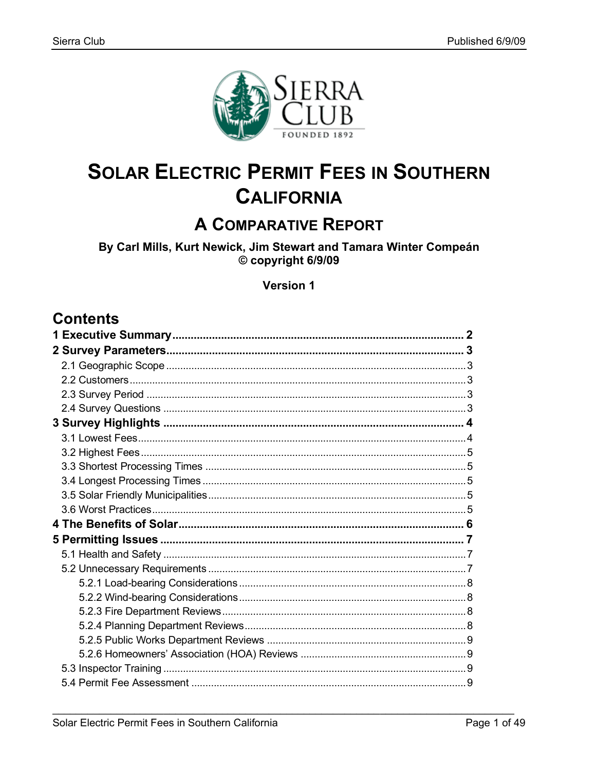

# **SOLAR ELECTRIC PERMIT FEES IN SOUTHERN CALIFORNIA**

# **A COMPARATIVE REPORT**

By Carl Mills, Kurt Newick, Jim Stewart and Tamara Winter Compeán © copyright 6/9/09

Version 1

# **Contents**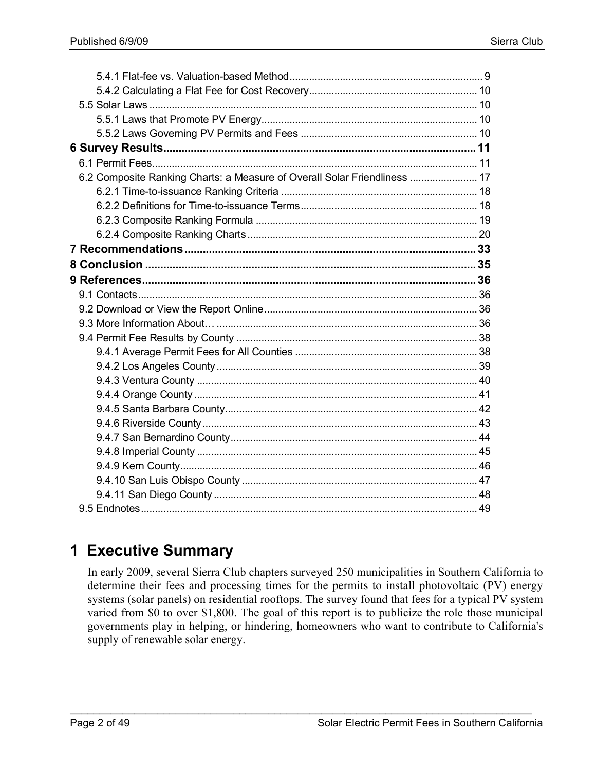| 6.2 Composite Ranking Charts: a Measure of Overall Solar Friendliness  17 |  |
|---------------------------------------------------------------------------|--|
|                                                                           |  |
|                                                                           |  |
|                                                                           |  |
|                                                                           |  |
|                                                                           |  |
|                                                                           |  |
|                                                                           |  |
|                                                                           |  |
|                                                                           |  |
|                                                                           |  |
|                                                                           |  |
|                                                                           |  |
|                                                                           |  |
|                                                                           |  |
|                                                                           |  |
|                                                                           |  |
|                                                                           |  |
|                                                                           |  |
|                                                                           |  |
|                                                                           |  |
|                                                                           |  |
|                                                                           |  |
|                                                                           |  |

# **1 Executive Summary**

In early 2009, several Sierra Club chapters surveyed 250 municipalities in Southern California to determine their fees and processing times for the permits to install photovoltaic (PV) energy systems (solar panels) on residential rooftops. The survey found that fees for a typical PV system varied from \$0 to over \$1,800. The goal of this report is to publicize the role those municipal governments play in helping, or hindering, homeowners who want to contribute to California's supply of renewable solar energy.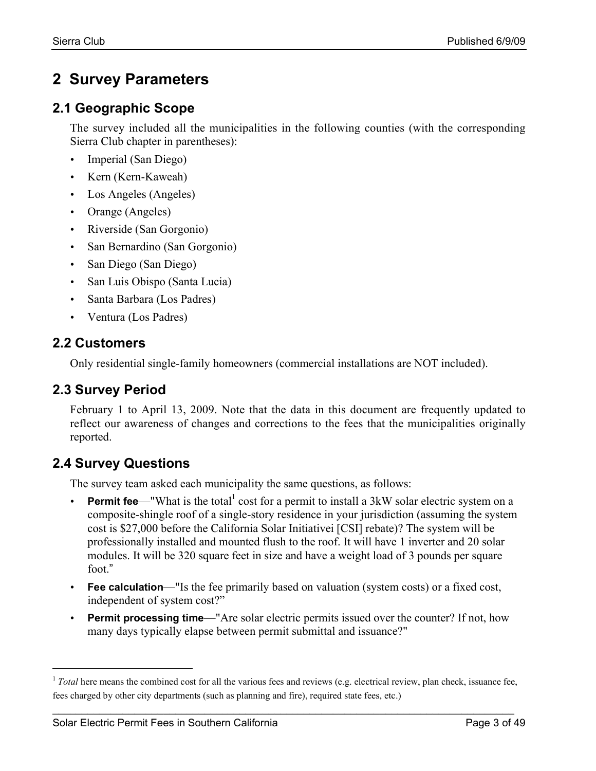# **2 Survey Parameters**

### **2.1 Geographic Scope**

The survey included all the municipalities in the following counties (with the corresponding Sierra Club chapter in parentheses):

- Imperial (San Diego)
- Kern (Kern-Kaweah)
- Los Angeles (Angeles)
- Orange (Angeles)
- Riverside (San Gorgonio)
- San Bernardino (San Gorgonio)
- San Diego (San Diego)
- San Luis Obispo (Santa Lucia)
- Santa Barbara (Los Padres)
- Ventura (Los Padres)

### **2.2 Customers**

Only residential single-family homeowners (commercial installations are NOT included).

### **2.3 Survey Period**

February 1 to April 13, 2009. Note that the data in this document are frequently updated to reflect our awareness of changes and corrections to the fees that the municipalities originally reported.

### **2.4 Survey Questions**

The survey team asked each municipality the same questions, as follows:

- **Permit fee—"**What is the total<sup>1</sup> cost for a permit to install a 3kW solar electric system on a composite-shingle roof of a single-story residence in your jurisdiction (assuming the system cost is \$27,000 before the California Solar Initiativei [CSI] rebate)? The system will be professionally installed and mounted flush to the roof. It will have 1 inverter and 20 solar modules. It will be 320 square feet in size and have a weight load of 3 pounds per square foot."
- **Fee calculation**—"Is the fee primarily based on valuation (system costs) or a fixed cost, independent of system cost?"
- **Permit processing time**—"Are solar electric permits issued over the counter? If not, how many days typically elapse between permit submittal and issuance?"

<sup>&</sup>lt;sup>1</sup> *Total* here means the combined cost for all the various fees and reviews (e.g. electrical review, plan check, issuance fee, fees charged by other city departments (such as planning and fire), required state fees, etc.)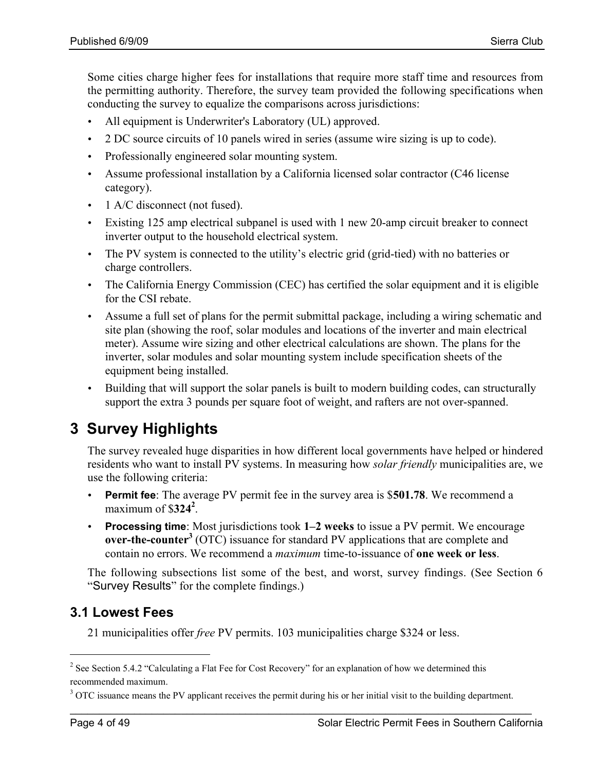Some cities charge higher fees for installations that require more staff time and resources from the permitting authority. Therefore, the survey team provided the following specifications when conducting the survey to equalize the comparisons across jurisdictions:

- All equipment is Underwriter's Laboratory (UL) approved.
- 2 DC source circuits of 10 panels wired in series (assume wire sizing is up to code).
- Professionally engineered solar mounting system.
- Assume professional installation by a California licensed solar contractor (C46 license) category).
- 1 A/C disconnect (not fused).
- Existing 125 amp electrical subpanel is used with 1 new 20-amp circuit breaker to connect inverter output to the household electrical system.
- The PV system is connected to the utility's electric grid (grid-tied) with no batteries or charge controllers.
- The California Energy Commission (CEC) has certified the solar equipment and it is eligible for the CSI rebate.
- Assume a full set of plans for the permit submittal package, including a wiring schematic and site plan (showing the roof, solar modules and locations of the inverter and main electrical meter). Assume wire sizing and other electrical calculations are shown. The plans for the inverter, solar modules and solar mounting system include specification sheets of the equipment being installed.
- Building that will support the solar panels is built to modern building codes, can structurally support the extra 3 pounds per square foot of weight, and rafters are not over-spanned.

# **3 Survey Highlights**

The survey revealed huge disparities in how different local governments have helped or hindered residents who want to install PV systems. In measuring how *solar friendly* municipalities are, we use the following criteria:

- **Permit fee**: The average PV permit fee in the survey area is \$501.78. We recommend a maximum of  $$324^2$ .
- **Processing time**: Most jurisdictions took 1–2 weeks to issue a PV permit. We encourage over-the-counter<sup>3</sup> (OTC) issuance for standard PV applications that are complete and contain no errors. We recommend a *maximum* time-to-issuance of one week or less.

The following subsections list some of the best, and worst, survey findings. (See Section 6 "Survey Results" for the complete findings.)

### **3.1 Lowest Fees**

21 municipalities offer *free* PV permits. 103 municipalities charge \$324 or less.

<sup>&</sup>lt;sup>2</sup> See Section 5.4.2 "Calculating a Flat Fee for Cost Recovery" for an explanation of how we determined this recommended maximum.

<sup>&</sup>lt;sup>3</sup> OTC issuance means the PV applicant receives the permit during his or her initial visit to the building department.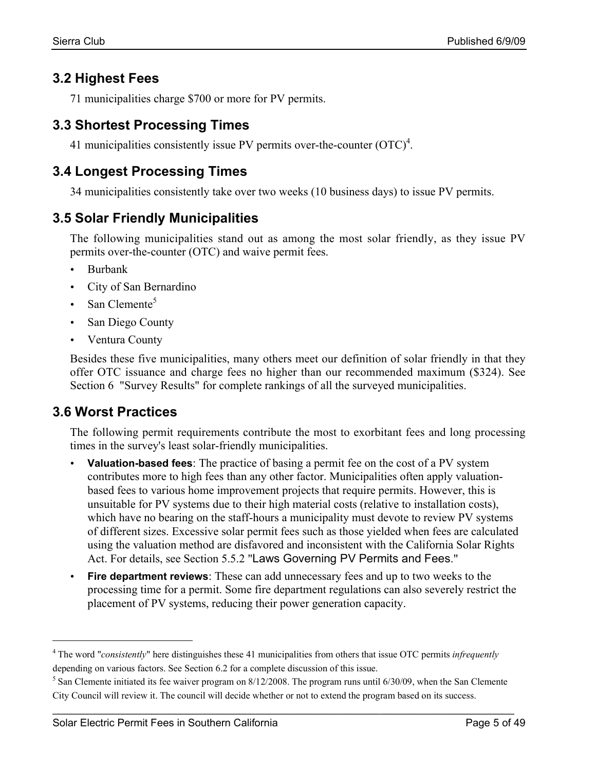### **3.2 Highest Fees**

71 municipalities charge \$700 or more for PV permits.

### **3.3 Shortest Processing Times**

41 municipalities consistently issue PV permits over-the-counter  $(OTC)^4$ .

### **3.4 Longest Processing Times**

34 municipalities consistently take over two weeks (10 business days) to issue PV permits.

### **3.5 Solar Friendly Municipalities**

The following municipalities stand out as among the most solar friendly, as they issue PV permits over-the-counter (OTC) and waive permit fees.

- Burbank
- City of San Bernardino
- San Clemente<sup>5</sup>
- San Diego County
- Ventura County

Besides these five municipalities, many others meet our definition of solar friendly in that they offer OTC issuance and charge fees no higher than our recommended maximum (\$324). See Section 6 "Survey Results" for complete rankings of all the surveyed municipalities.

### **3.6 Worst Practices**

The following permit requirements contribute the most to exorbitant fees and long processing times in the survey's least solar-friendly municipalities.

- **Valuation-based fees**: The practice of basing a permit fee on the cost of a PV system contributes more to high fees than any other factor. Municipalities often apply valuationbased fees to various home improvement projects that require permits. However, this is unsuitable for PV systems due to their high material costs (relative to installation costs), which have no bearing on the staff-hours a municipality must devote to review PV systems of different sizes. Excessive solar permit fees such as those yielded when fees are calculated using the valuation method are disfavored and inconsistent with the California Solar Rights Act. For details, see Section 5.5.2 "Laws Governing PV Permits and Fees."
- **Fire department reviews**: These can add unnecessary fees and up to two weeks to the processing time for a permit. Some fire department regulations can also severely restrict the placement of PV systems, reducing their power generation capacity.

 <sup>4</sup> The word "*consistently*" here distinguishes these <sup>41</sup> municipalities from others that issue OTC permits *infrequently* depending on various factors. See Section 6.2 for a complete discussion of this issue.

 $<sup>5</sup>$  San Clemente initiated its fee waiver program on 8/12/2008. The program runs until 6/30/09, when the San Clemente</sup> City Council will review it. The council will decide whether or not to extend the program based on its success.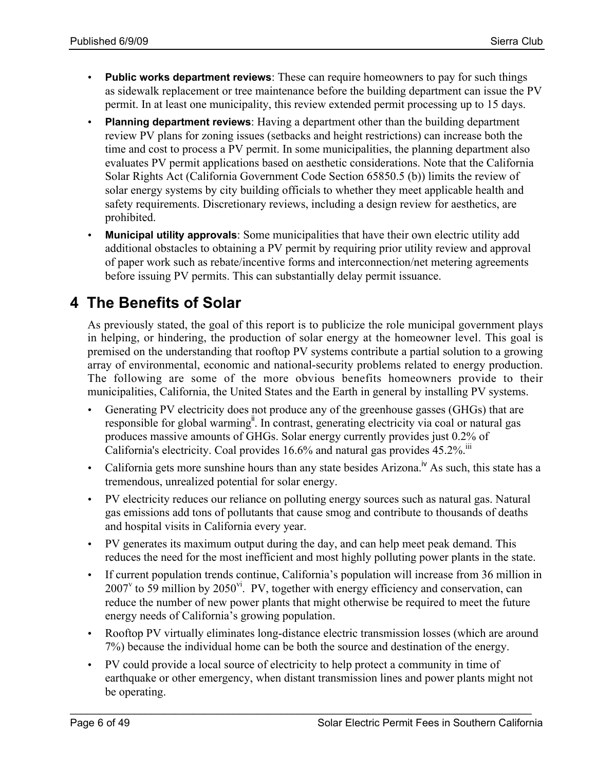- **Public works department reviews**: These can require homeowners to pay for such things as sidewalk replacement or tree maintenance before the building department can issue the PV permit. In at least one municipality, this review extended permit processing up to 15 days.
- **Planning department reviews**: Having a department other than the building department review PV plans for zoning issues (setbacks and height restrictions) can increase both the time and cost to process a PV permit. In some municipalities, the planning department also evaluates PV permit applications based on aesthetic considerations. Note that the California Solar Rights Act (California Government Code Section 65850.5 (b)) limits the review of solar energy systems by city building officials to whether they meet applicable health and safety requirements. Discretionary reviews, including a design review for aesthetics, are prohibited.
- **Municipal utility approvals**: Some municipalities that have their own electric utility add additional obstacles to obtaining a PV permit by requiring prior utility review and approval of paper work such as rebate/incentive forms and interconnection/net metering agreements before issuing PV permits. This can substantially delay permit issuance.

# **4 The Benefits of Solar**

As previously stated, the goal of this report is to publicize the role municipal government plays in helping, or hindering, the production of solar energy at the homeowner level. This goal is premised on the understanding that rooftop PV systems contribute a partial solution to a growing array of environmental, economic and national-security problems related to energy production. The following are some of the more obvious benefits homeowners provide to their municipalities, California, the United States and the Earth in general by installing PV systems.

- Generating PV electricity does not produce any of the greenhouse gasses (GHGs) that are responsible for global warming<sup>"</sup>. In contrast, generating electricity via coal or natural gas produces massive amounts of GHGs. Solar energy currently provides just 0.2% of California's electricity. Coal provides 16.6% and natural gas provides 45.2%.<sup>iii</sup>
- California gets more sunshine hours than any state besides Arizona.<sup>iv</sup> As such, this state has a tremendous, unrealized potential for solar energy.
- PV electricity reduces our reliance on polluting energy sources such as natural gas. Natural gas emissions add tons of pollutants that cause smog and contribute to thousands of deaths and hospital visits in California every year.
- PV generates its maximum output during the day, and can help meet peak demand. This reduces the need for the most inefficient and most highly polluting power plants in the state.
- If current population trends continue, California's population will increase from 36 million in  $2007^{\circ}$  to 59 million by  $2050^{\circ i}$ . PV, together with energy efficiency and conservation, can reduce the number of new power plants that might otherwise be required to meet the future energy needs of California's growing population.
- Rooftop PV virtually eliminates long-distance electric transmission losses (which are around 7%) because the individual home can be both the source and destination of the energy.
- PV could provide a local source of electricity to help protect a community in time of earthquake or other emergency, when distant transmission lines and power plants might not be operating.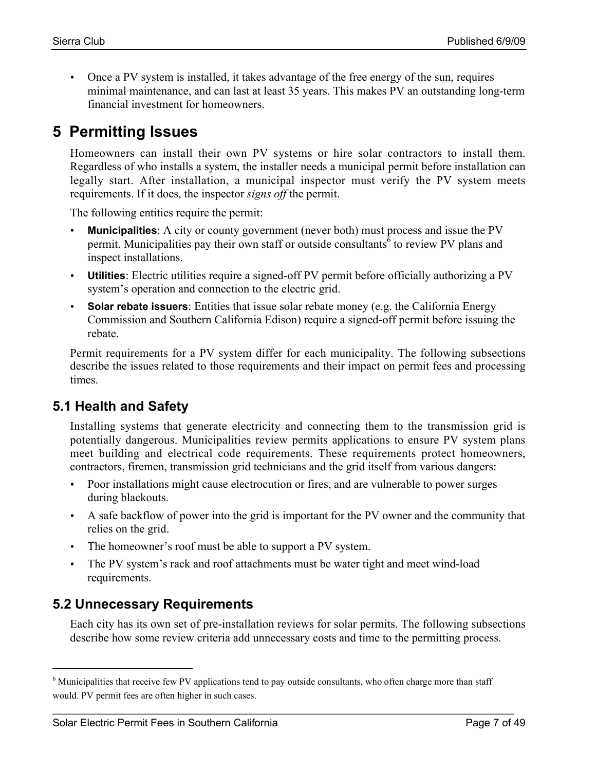• Once a PV system is installed, it takes advantage of the free energy of the sun, requires minimal maintenance, and can last at least 35 years. This makes PV an outstanding long-term financial investment for homeowners.

# **5 Permitting Issues**

Homeowners can install their own PV systems or hire solar contractors to install them. Regardless of who installs a system, the installer needs a municipal permit before installation can legally start. After installation, a municipal inspector must verify the PV system meets requirements. If it does, the inspector *signs off* the permit.

The following entities require the permit:

- **Municipalities**: A city or county government (never both) must process and issue the PV permit. Municipalities pay their own staff or outside consultants<sup> $\delta$ </sup> to review PV plans and inspect installations.
- **Utilities**: Electric utilities require a signed-off PV permit before officially authorizing a PV system's operation and connection to the electric grid.
- **Solar rebate issuers**: Entities that issue solar rebate money (e.g. the California Energy Commission and Southern California Edison) require a signed-off permit before issuing the rebate.

Permit requirements for a PV system differ for each municipality. The following subsections describe the issues related to those requirements and their impact on permit fees and processing times.

### **5.1 Health and Safety**

Installing systems that generate electricity and connecting them to the transmission grid is potentially dangerous. Municipalities review permits applications to ensure PV system plans meet building and electrical code requirements. These requirements protect homeowners, contractors, firemen, transmission grid technicians and the grid itself from various dangers:

- Poor installations might cause electrocution or fires, and are vulnerable to power surges during blackouts.
- A safe backflow of power into the grid is important for the PV owner and the community that relies on the grid.
- The homeowner's roof must be able to support a PV system.
- The PV system's rack and roof attachments must be water tight and meet wind-load requirements.

### **5.2 Unnecessary Requirements**

Each city has its own set of pre-installation reviews for solar permits. The following subsections describe how some review criteria add unnecessary costs and time to the permitting process.

<sup>&</sup>lt;sup>6</sup> Municipalities that receive few PV applications tend to pay outside consultants, who often charge more than staff would. PV permit fees are often higher in such cases.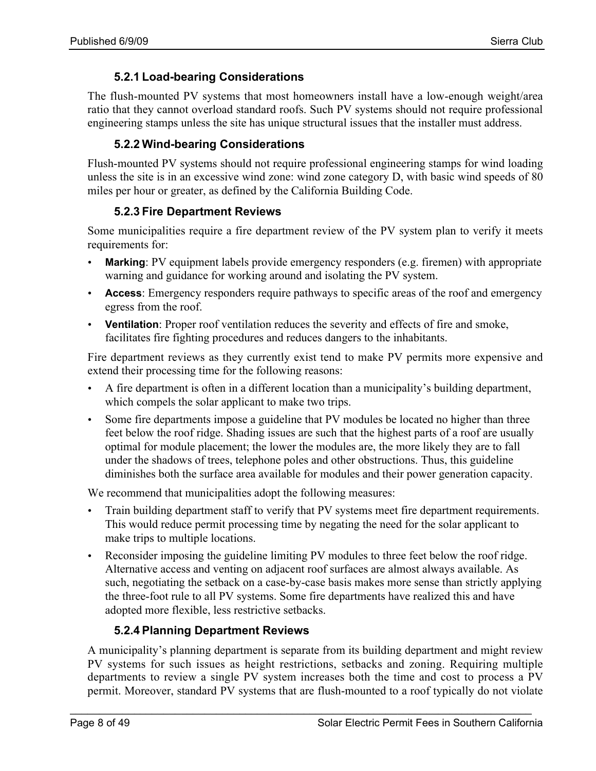#### **5.2.1 Load-bearing Considerations**

The flush-mounted PV systems that most homeowners install have a low-enough weight/area ratio that they cannot overload standard roofs. Such PV systems should not require professional engineering stamps unless the site has unique structural issues that the installer must address.

#### **5.2.2 Wind-bearing Considerations**

Flush-mounted PV systems should not require professional engineering stamps for wind loading unless the site is in an excessive wind zone: wind zone category D, with basic wind speeds of 80 miles per hour or greater, as defined by the California Building Code.

#### **5.2.3 Fire Department Reviews**

Some municipalities require a fire department review of the PV system plan to verify it meets requirements for:

- **Marking**: PV equipment labels provide emergency responders (e.g. firemen) with appropriate warning and guidance for working around and isolating the PV system.
- **Access**: Emergency responders require pathways to specific areas of the roof and emergency egress from the roof.
- **Ventilation**: Proper roof ventilation reduces the severity and effects of fire and smoke, facilitates fire fighting procedures and reduces dangers to the inhabitants.

Fire department reviews as they currently exist tend to make PV permits more expensive and extend their processing time for the following reasons:

- A fire department is often in a different location than a municipality's building department, which compels the solar applicant to make two trips.
- Some fire departments impose a guideline that PV modules be located no higher than three feet below the roof ridge. Shading issues are such that the highest parts of a roof are usually optimal for module placement; the lower the modules are, the more likely they are to fall under the shadows of trees, telephone poles and other obstructions. Thus, this guideline diminishes both the surface area available for modules and their power generation capacity.

We recommend that municipalities adopt the following measures:

- Train building department staff to verify that PV systems meet fire department requirements. This would reduce permit processing time by negating the need for the solar applicant to make trips to multiple locations.
- Reconsider imposing the guideline limiting PV modules to three feet below the roof ridge. Alternative access and venting on adjacent roof surfaces are almost always available. As such, negotiating the setback on a case-by-case basis makes more sense than strictly applying the three-foot rule to all PV systems. Some fire departments have realized this and have adopted more flexible, less restrictive setbacks.

#### **5.2.4 Planning Department Reviews**

A municipality's planning department is separate from its building department and might review PV systems for such issues as height restrictions, setbacks and zoning. Requiring multiple departments to review a single PV system increases both the time and cost to process a PV permit. Moreover, standard PV systems that are flush-mounted to a roof typically do not violate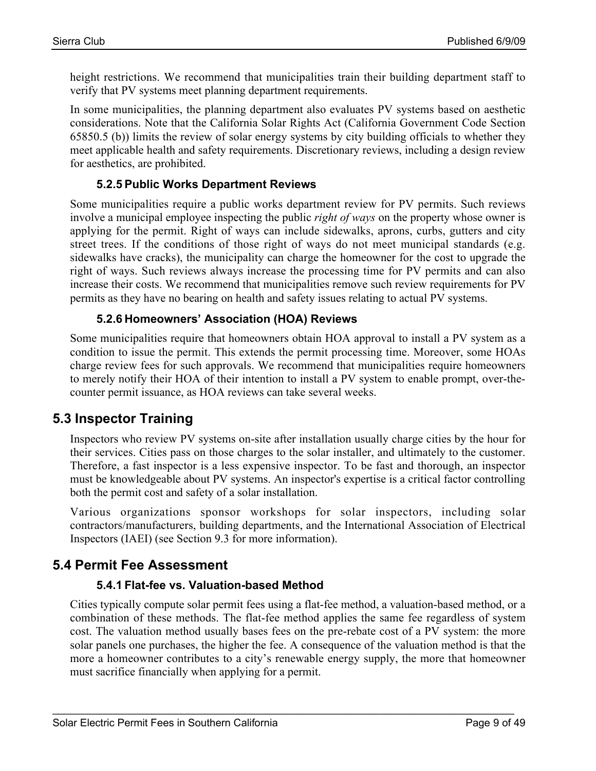height restrictions. We recommend that municipalities train their building department staff to verify that PV systems meet planning department requirements.

In some municipalities, the planning department also evaluates PV systems based on aesthetic considerations. Note that the California Solar Rights Act (California Government Code Section 65850.5 (b)) limits the review of solar energy systems by city building officials to whether they meet applicable health and safety requirements. Discretionary reviews, including a design review for aesthetics, are prohibited.

#### **5.2.5 Public Works Department Reviews**

Some municipalities require a public works department review for PV permits. Such reviews involve a municipal employee inspecting the public *right of ways* on the property whose owner is applying for the permit. Right of ways can include sidewalks, aprons, curbs, gutters and city street trees. If the conditions of those right of ways do not meet municipal standards (e.g. sidewalks have cracks), the municipality can charge the homeowner for the cost to upgrade the right of ways. Such reviews always increase the processing time for PV permits and can also increase their costs. We recommend that municipalities remove such review requirements for PV permits as they have no bearing on health and safety issues relating to actual PV systems.

#### **5.2.6 Homeowners' Association (HOA) Reviews**

Some municipalities require that homeowners obtain HOA approval to install a PV system as a condition to issue the permit. This extends the permit processing time. Moreover, some HOAs charge review fees for such approvals. We recommend that municipalities require homeowners to merely notify their HOA of their intention to install a PV system to enable prompt, over-thecounter permit issuance, as HOA reviews can take several weeks.

### **5.3 Inspector Training**

Inspectors who review PV systems on-site after installation usually charge cities by the hour for their services. Cities pass on those charges to the solar installer, and ultimately to the customer. Therefore, a fast inspector is a less expensive inspector. To be fast and thorough, an inspector must be knowledgeable about PV systems. An inspector's expertise is a critical factor controlling both the permit cost and safety of a solar installation.

Various organizations sponsor workshops for solar inspectors, including solar contractors/manufacturers, building departments, and the International Association of Electrical Inspectors (IAEI) (see Section 9.3 for more information).

#### **5.4 Permit Fee Assessment**

#### **5.4.1 Flat-fee vs. Valuation-based Method**

Cities typically compute solar permit fees using a flat-fee method, a valuation-based method, or a combination of these methods. The flat-fee method applies the same fee regardless of system cost. The valuation method usually bases fees on the pre-rebate cost of a PV system: the more solar panels one purchases, the higher the fee. A consequence of the valuation method is that the more a homeowner contributes to a city's renewable energy supply, the more that homeowner must sacrifice financially when applying for a permit.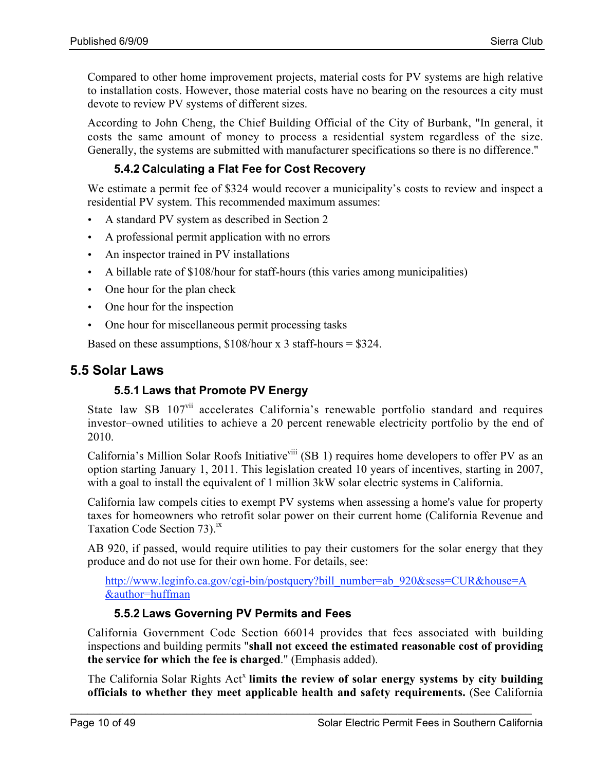Compared to other home improvement projects, material costs for PV systems are high relative to installation costs. However, those material costs have no bearing on the resources a city must devote to review PV systems of different sizes.

According to John Cheng, the Chief Building Official of the City of Burbank, "In general, it costs the same amount of money to process a residential system regardless of the size. Generally, the systems are submitted with manufacturer specifications so there is no difference."

#### **5.4.2 Calculating a Flat Fee for Cost Recovery**

We estimate a permit fee of \$324 would recover a municipality's costs to review and inspect a residential PV system. This recommended maximum assumes:

- A standard PV system as described in Section 2
- A professional permit application with no errors
- An inspector trained in PV installations
- A billable rate of \$108/hour for staff-hours (this varies among municipalities)
- One hour for the plan check
- One hour for the inspection
- One hour for miscellaneous permit processing tasks

Based on these assumptions,  $$108/hour \times 3$  staff-hours =  $$324$ .

### **5.5 Solar Laws**

#### **5.5.1 Laws that Promote PV Energy**

State law SB 107<sup>vii</sup> accelerates California's renewable portfolio standard and requires investor–owned utilities to achieve a 20 percent renewable electricity portfolio by the end of 2010.

California's Million Solar Roofs Initiative<sup>viii</sup> (SB 1) requires home developers to offer PV as an option starting January 1, 2011. This legislation created 10 years of incentives, starting in 2007, with a goal to install the equivalent of 1 million 3kW solar electric systems in California.

California law compels cities to exempt PV systems when assessing a home's value for property taxes for homeowners who retrofit solar power on their current home (California Revenue and Taxation Code Section  $73$ ).<sup>1x</sup>

AB 920, if passed, would require utilities to pay their customers for the solar energy that they produce and do not use for their own home. For details, see:

http://www.leginfo.ca.gov/cgi-bin/postquery?bill\_number=ab\_920&sess=CUR&house=A &author=huffman

#### **5.5.2 Laws Governing PV Permits and Fees**

California Government Code Section 66014 provides that fees associated with building inspections and building permits "shall not exceed the estimated reasonable cost of providing the service for which the fee is charged." (Emphasis added).

The California Solar Rights Act<sup>x</sup> limits the review of solar energy systems by city building officials to whether they meet applicable health and safety requirements. (See California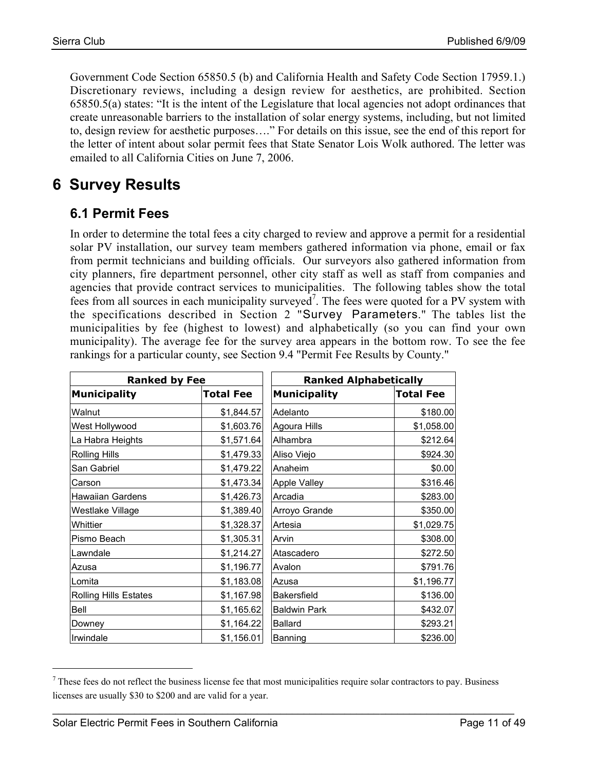Government Code Section 65850.5 (b) and California Health and Safety Code Section 17959.1.) Discretionary reviews, including a design review for aesthetics, are prohibited. Section 65850.5(a) states: "It is the intent of the Legislature that local agencies not adopt ordinances that create unreasonable barriers to the installation of solar energy systems, including, but not limited to, design review for aesthetic purposes…." For details on this issue, see the end of this report for the letter of intent about solar permit fees that State Senator Lois Wolk authored. The letter was emailed to all California Cities on June 7, 2006.

# **6 Survey Results**

### **6.1 Permit Fees**

In order to determine the total fees a city charged to review and approve a permit for a residential solar PV installation, our survey team members gathered information via phone, email or fax from permit technicians and building officials. Our surveyors also gathered information from city planners, fire department personnel, other city staff as well as staff from companies and agencies that provide contract services to municipalities. The following tables show the total fees from all sources in each municipality surveyed<sup>7</sup>. The fees were quoted for a PV system with the specifications described in Section 2 "Survey Parameters." The tables list the municipalities by fee (highest to lowest) and alphabetically (so you can find your own municipality). The average fee for the survey area appears in the bottom row. To see the fee rankings for a particular county, see Section 9.4 "Permit Fee Results by County."

| <b>Ranked by Fee</b>         |                  | <b>Ranked Alphabetically</b> |                  |
|------------------------------|------------------|------------------------------|------------------|
| <b>Municipality</b>          | <b>Total Fee</b> | <b>Municipality</b>          | <b>Total Fee</b> |
| Walnut                       | \$1,844.57       | Adelanto                     | \$180.00         |
| West Hollywood               | \$1,603.76       | Agoura Hills                 | \$1,058.00       |
| La Habra Heights             | \$1,571.64       | Alhambra                     | \$212.64]        |
| <b>Rolling Hills</b>         | \$1,479.33       | Aliso Viejo                  | \$924.30         |
| San Gabriel                  | \$1,479.22       | Anaheim                      | \$0.00           |
| Carson                       | \$1,473.34       | Apple Valley                 | \$316.46         |
| <b>Hawaiian Gardens</b>      | \$1,426.73       | Arcadia                      | \$283.00         |
| Westlake Village             | \$1,389.40       | Arroyo Grande                | \$350.00         |
| Whittier                     | \$1,328.37       | Artesia                      | \$1,029.75       |
| Pismo Beach                  | \$1,305.31       | Arvin                        | \$308.00         |
| Lawndale                     | \$1,214.27       | Atascadero                   | \$272.50         |
| Azusa                        | \$1,196.77       | Avalon                       | \$791.76         |
| Lomita                       | \$1,183.08       | Azusa                        | \$1,196.77       |
| <b>Rolling Hills Estates</b> | \$1,167.98       | <b>Bakersfield</b>           | \$136.00         |
| Bell                         | \$1,165.62       | <b>Baldwin Park</b>          | \$432.07         |
| Downey                       | \$1,164.22       | <b>Ballard</b>               | \$293.21         |
| Irwindale                    | \$1,156.01       | Banning                      | \$236.00         |

 $<sup>7</sup>$  These fees do not reflect the business license fee that most municipalities require solar contractors to pay. Business</sup> licenses are usually \$30 to \$200 and are valid for a year.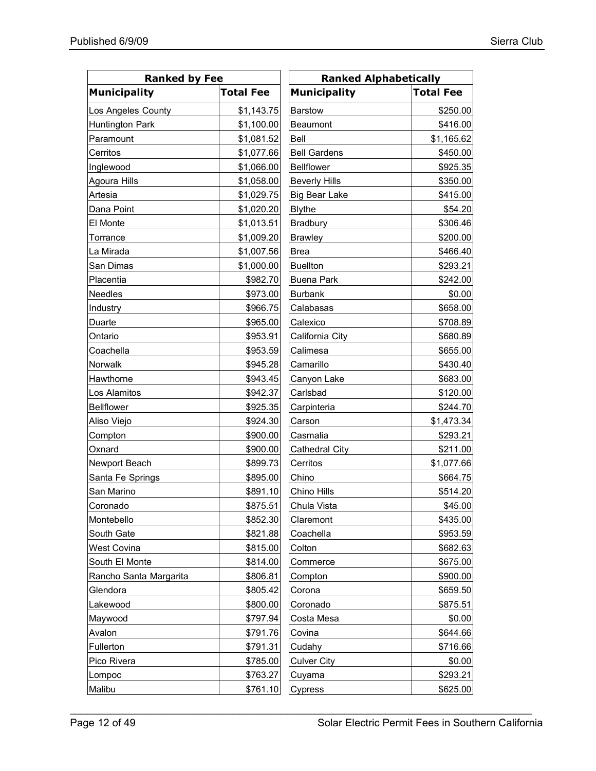| <b>Ranked by Fee</b>   |                  | <b>Ranked Alphabetically</b> |                  |  |
|------------------------|------------------|------------------------------|------------------|--|
| <b>Municipality</b>    | <b>Total Fee</b> | <b>Municipality</b>          | <b>Total Fee</b> |  |
| Los Angeles County     | \$1,143.75       | <b>Barstow</b>               | \$250.00         |  |
| Huntington Park        | \$1,100.00       | <b>Beaumont</b>              | \$416.00         |  |
| Paramount              | \$1,081.52       | Bell                         | \$1,165.62       |  |
| Cerritos               | \$1,077.66       | <b>Bell Gardens</b>          | \$450.00         |  |
| Inglewood              | \$1,066.00       | <b>Bellflower</b>            | \$925.35         |  |
| Agoura Hills           | \$1,058.00       | <b>Beverly Hills</b>         | \$350.00         |  |
| Artesia                | \$1,029.75       | <b>Big Bear Lake</b>         | \$415.00         |  |
| Dana Point             | \$1,020.20       | <b>Blythe</b>                | \$54.20          |  |
| El Monte               | \$1,013.51       | <b>Bradbury</b>              | \$306.46         |  |
| Torrance               | \$1,009.20       | <b>Brawley</b>               | \$200.00         |  |
| La Mirada              | \$1,007.56       | <b>Brea</b>                  | \$466.40         |  |
| San Dimas              | \$1,000.00       | <b>Buellton</b>              | \$293.21         |  |
| Placentia              | \$982.70         | <b>Buena Park</b>            | \$242.00         |  |
| Needles                | \$973.00         | <b>Burbank</b>               | \$0.00           |  |
| Industry               | \$966.75         | Calabasas                    | \$658.00         |  |
| Duarte                 | \$965.00         | Calexico                     | \$708.89         |  |
| Ontario                | \$953.91         | California City              | \$680.89         |  |
| Coachella              | \$953.59         | Calimesa                     | \$655.00         |  |
| Norwalk                | \$945.28         | Camarillo                    | \$430.40         |  |
| Hawthorne              | \$943.45         | Canyon Lake                  | \$683.00         |  |
| Los Alamitos           | \$942.37         | Carlsbad                     | \$120.00         |  |
| <b>Bellflower</b>      | \$925.35         | Carpinteria                  | \$244.70         |  |
| Aliso Viejo            | \$924.30         | Carson                       | \$1,473.34       |  |
| Compton                | \$900.00         | Casmalia                     | \$293.21         |  |
| Oxnard                 | \$900.00         | <b>Cathedral City</b>        | \$211.00         |  |
| Newport Beach          | \$899.73         | Cerritos                     | \$1,077.66       |  |
| Santa Fe Springs       | \$895.00         | Chino                        | \$664.75         |  |
| San Marino             | \$891.10         | Chino Hills                  | \$514.20         |  |
| Coronado               | \$875.51         | Chula Vista                  | \$45.00          |  |
| Montebello             | \$852.30         | Claremont                    | \$435.00         |  |
| South Gate             | \$821.88         | Coachella                    | \$953.59         |  |
| West Covina            | \$815.00         | Colton                       | \$682.63         |  |
| South El Monte         | \$814.00         | Commerce                     | \$675.00         |  |
| Rancho Santa Margarita | \$806.81         | Compton                      | \$900.00         |  |
| Glendora               | \$805.42         | Corona                       | \$659.50         |  |
| Lakewood               | \$800.00         | Coronado                     | \$875.51         |  |
| Maywood                | \$797.94         | Costa Mesa                   | \$0.00           |  |
| Avalon                 | \$791.76         | Covina                       | \$644.66         |  |
| Fullerton              | \$791.31         | Cudahy                       | \$716.66         |  |
| Pico Rivera            | \$785.00         | <b>Culver City</b>           | \$0.00           |  |
| Lompoc                 | \$763.27         | Cuyama                       | \$293.21         |  |
| Malibu                 | \$761.10         | Cypress                      | \$625.00         |  |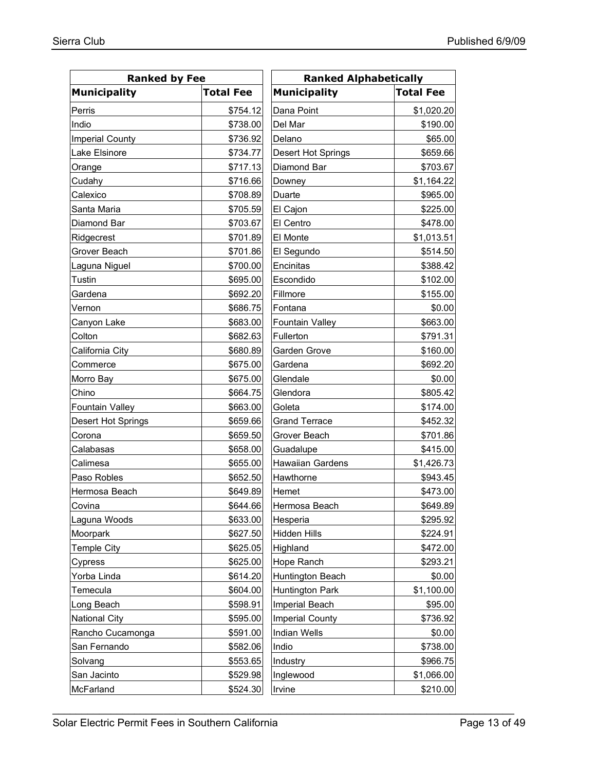| <b>Ranked by Fee</b>   |                  | <b>Ranked Alphabetically</b> |                  |
|------------------------|------------------|------------------------------|------------------|
| <b>Municipality</b>    | <b>Total Fee</b> | <b>Municipality</b>          | <b>Total Fee</b> |
| Perris                 | \$754.12         | Dana Point                   | \$1,020.20       |
| Indio                  | \$738.00         | Del Mar                      | \$190.00         |
| <b>Imperial County</b> | \$736.92         | Delano                       | \$65.00          |
| Lake Elsinore          | \$734.77         | Desert Hot Springs           | \$659.66         |
| Orange                 | \$717.13         | Diamond Bar                  | \$703.67         |
| Cudahy                 | \$716.66         | Downey                       | \$1,164.22       |
| Calexico               | \$708.89         | Duarte                       | \$965.00         |
| Santa Maria            | \$705.59         | El Cajon                     | \$225.00         |
| Diamond Bar            | \$703.67         | El Centro                    | \$478.00         |
| Ridgecrest             | \$701.89         | El Monte                     | \$1,013.51       |
| Grover Beach           | \$701.86         | El Segundo                   | \$514.50         |
| Laguna Niguel          | \$700.00         | Encinitas                    | \$388.42         |
| Tustin                 | \$695.00         | Escondido                    | \$102.00         |
| Gardena                | \$692.20         | Fillmore                     | \$155.00         |
| Vernon                 | \$686.75         | Fontana                      | \$0.00           |
| Canyon Lake            | \$683.00         | <b>Fountain Valley</b>       | \$663.00         |
| Colton                 | \$682.63         | Fullerton                    | \$791.31         |
| California City        | \$680.89         | Garden Grove                 | \$160.00         |
| Commerce               | \$675.00         | Gardena                      | \$692.20         |
| Morro Bay              | \$675.00         | Glendale                     | \$0.00           |
| Chino                  | \$664.75         | Glendora                     | \$805.42         |
| Fountain Valley        | \$663.00         | Goleta                       | \$174.00         |
| Desert Hot Springs     | \$659.66         | <b>Grand Terrace</b>         | \$452.32         |
| Corona                 | \$659.50         | Grover Beach                 | \$701.86         |
| Calabasas              | \$658.00         | Guadalupe                    | \$415.00         |
| Calimesa               | \$655.00         | <b>Hawaiian Gardens</b>      | \$1,426.73       |
| Paso Robles            | \$652.50         | Hawthorne                    | \$943.45         |
| Hermosa Beach          | \$649.89         | Hemet                        | \$473.00         |
| Covina                 | \$644.66         | Hermosa Beach                | \$649.89         |
| Laguna Woods           | \$633.00         | Hesperia                     | \$295.92         |
| Moorpark               | \$627.50         | <b>Hidden Hills</b>          | \$224.91         |
| Temple City            | \$625.05         | Highland                     | \$472.00         |
| Cypress                | \$625.00         | Hope Ranch                   | \$293.21         |
| Yorba Linda            | \$614.20         | Huntington Beach             | \$0.00           |
| Temecula               | \$604.00         | <b>Huntington Park</b>       | \$1,100.00       |
| Long Beach             | \$598.91         | Imperial Beach               | \$95.00          |
| National City          | \$595.00         | <b>Imperial County</b>       | \$736.92         |
| Rancho Cucamonga       | \$591.00         | <b>Indian Wells</b>          | \$0.00           |
| San Fernando           | \$582.06         | Indio                        | \$738.00         |
| Solvang                | \$553.65         | Industry                     | \$966.75         |
| San Jacinto            | \$529.98         | Inglewood                    | \$1,066.00       |
| McFarland              | \$524.30         | Irvine                       | \$210.00         |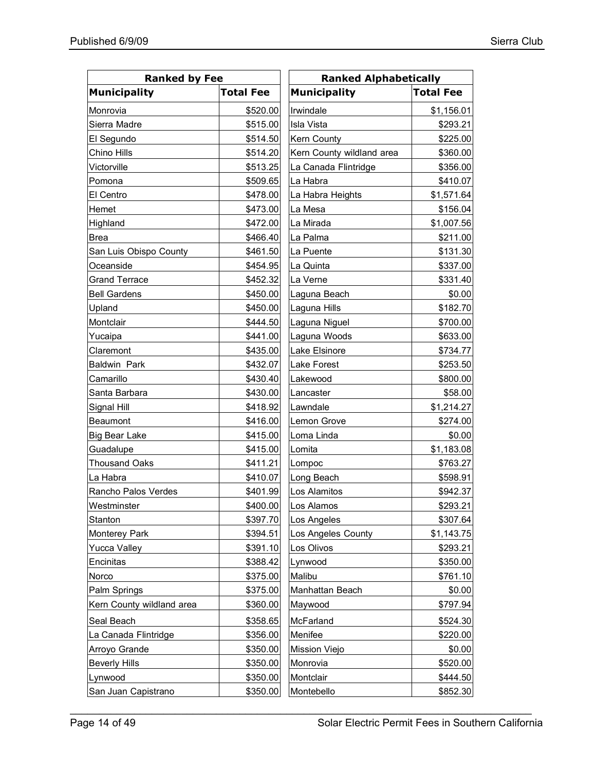| <b>Ranked by Fee</b>      |                  | <b>Ranked Alphabetically</b> |                  |  |  |
|---------------------------|------------------|------------------------------|------------------|--|--|
| <b>Municipality</b>       | <b>Total Fee</b> | <b>Municipality</b>          | <b>Total Fee</b> |  |  |
| Monrovia                  | \$520.00         | Irwindale                    | \$1,156.01       |  |  |
| Sierra Madre              | \$515.00         | <b>Isla Vista</b>            | \$293.21         |  |  |
| El Segundo                | \$514.50         | <b>Kern County</b>           | \$225.00         |  |  |
| Chino Hills               | \$514.20         | Kern County wildland area    | \$360.00         |  |  |
| Victorville               | \$513.25         | La Canada Flintridge         | \$356.00         |  |  |
| Pomona                    | \$509.65         | La Habra                     | \$410.07         |  |  |
| El Centro                 | \$478.00         | La Habra Heights             | \$1,571.64       |  |  |
| Hemet                     | \$473.00         | La Mesa                      | \$156.04         |  |  |
| Highland                  | \$472.00         | La Mirada                    | \$1,007.56       |  |  |
| <b>Brea</b>               | \$466.40         | La Palma                     | \$211.00         |  |  |
| San Luis Obispo County    | \$461.50         | La Puente                    | \$131.30         |  |  |
| Oceanside                 | \$454.95         | La Quinta                    | \$337.00         |  |  |
| <b>Grand Terrace</b>      | \$452.32         | La Verne                     | \$331.40         |  |  |
| <b>Bell Gardens</b>       | \$450.00         | Laguna Beach                 | \$0.00           |  |  |
| Upland                    | \$450.00         | Laguna Hills                 | \$182.70         |  |  |
| Montclair                 | \$444.50         | Laguna Niguel                | \$700.00         |  |  |
| Yucaipa                   | \$441.00         | Laguna Woods                 | \$633.00         |  |  |
| Claremont                 | \$435.00         | Lake Elsinore                | \$734.77         |  |  |
| <b>Baldwin Park</b>       | \$432.07         | <b>Lake Forest</b>           | \$253.50         |  |  |
| Camarillo                 | \$430.40         | Lakewood                     | \$800.00         |  |  |
| Santa Barbara             | \$430.00         | Lancaster                    | \$58.00          |  |  |
| Signal Hill               | \$418.92         | Lawndale                     | \$1,214.27       |  |  |
| <b>Beaumont</b>           | \$416.00         | Lemon Grove                  | \$274.00         |  |  |
| <b>Big Bear Lake</b>      | \$415.00         | Loma Linda                   | \$0.00           |  |  |
| Guadalupe                 | \$415.00         | Lomita                       | \$1,183.08       |  |  |
| <b>Thousand Oaks</b>      | \$411.21         | Lompoc                       | \$763.27         |  |  |
| La Habra                  | \$410.07         | Long Beach                   | \$598.91         |  |  |
| Rancho Palos Verdes       | \$401.99         | Los Alamitos                 | \$942.37         |  |  |
| Westminster               | \$400.00         | Los Alamos                   | \$293.21         |  |  |
| Stanton                   | \$397.70         | Los Angeles                  | \$307.64         |  |  |
| Monterey Park             | \$394.51         | Los Angeles County           | \$1,143.75       |  |  |
| <b>Yucca Valley</b>       | \$391.10         | Los Olivos                   | \$293.21         |  |  |
| Encinitas                 | \$388.42         | Lynwood                      | \$350.00         |  |  |
| Norco                     | \$375.00         | Malibu                       | \$761.10         |  |  |
| Palm Springs              | \$375.00         | Manhattan Beach              | \$0.00           |  |  |
| Kern County wildland area | \$360.00         | Maywood                      | \$797.94         |  |  |
| Seal Beach                | \$358.65         | McFarland                    | \$524.30         |  |  |
| La Canada Flintridge      | \$356.00         | Menifee                      | \$220.00         |  |  |
| Arroyo Grande             | \$350.00         | <b>Mission Viejo</b>         | \$0.00           |  |  |
| <b>Beverly Hills</b>      | \$350.00         | Monrovia                     | \$520.00         |  |  |
| Lynwood                   | \$350.00         | Montclair                    | \$444.50         |  |  |
| San Juan Capistrano       | \$350.00         | Montebello                   | \$852.30         |  |  |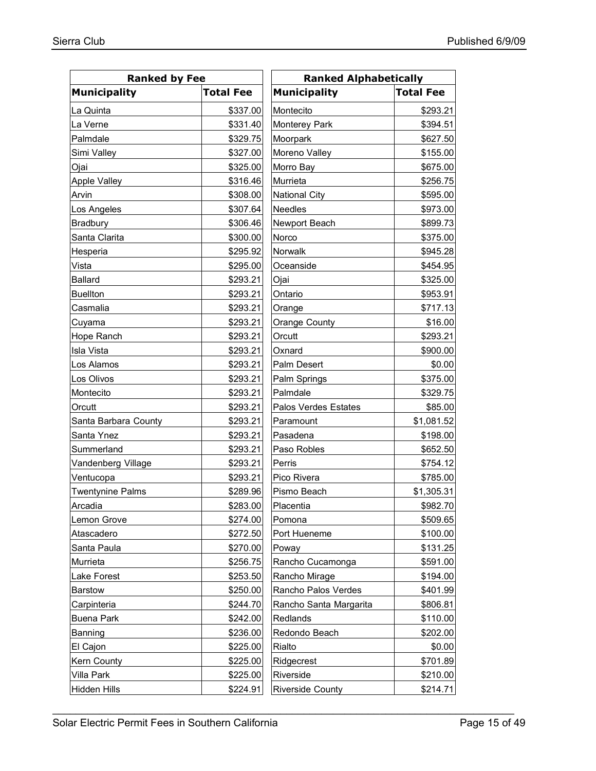| <b>Ranked by Fee</b>    |                  | <b>Ranked Alphabetically</b> |                  |  |  |
|-------------------------|------------------|------------------------------|------------------|--|--|
| <b>Municipality</b>     | <b>Total Fee</b> | <b>Municipality</b>          | <b>Total Fee</b> |  |  |
| La Quinta               | \$337.00         | Montecito                    | \$293.21         |  |  |
| La Verne                | \$331.40         | <b>Monterey Park</b>         | \$394.51         |  |  |
| Palmdale                | \$329.75         | Moorpark                     | \$627.50         |  |  |
| Simi Valley             | \$327.00         | Moreno Valley                | \$155.00         |  |  |
| Ojai                    | \$325.00         | Morro Bay                    | \$675.00         |  |  |
| <b>Apple Valley</b>     | \$316.46         | Murrieta                     | \$256.75         |  |  |
| Arvin                   | \$308.00         | <b>National City</b>         | \$595.00         |  |  |
| Los Angeles             | \$307.64         | <b>Needles</b>               | \$973.00         |  |  |
| Bradbury                | \$306.46         | Newport Beach                | \$899.73         |  |  |
| Santa Clarita           | \$300.00         | Norco                        | \$375.00         |  |  |
| Hesperia                | \$295.92         | Norwalk                      | \$945.28         |  |  |
| Vista                   | \$295.00         | Oceanside                    | \$454.95         |  |  |
| <b>Ballard</b>          | \$293.21         | Ojai                         | \$325.00         |  |  |
| <b>Buellton</b>         | \$293.21         | Ontario                      | \$953.91         |  |  |
| Casmalia                | \$293.21         | Orange                       | \$717.13         |  |  |
| Cuyama                  | \$293.21         | <b>Orange County</b>         | \$16.00          |  |  |
| Hope Ranch              | \$293.21         | Orcutt                       | \$293.21         |  |  |
| Isla Vista              | \$293.21         | Oxnard                       | \$900.00         |  |  |
| Los Alamos              | \$293.21         | Palm Desert                  | \$0.00           |  |  |
| Los Olivos              | \$293.21         | Palm Springs                 | \$375.00         |  |  |
| Montecito               | \$293.21         | Palmdale                     | \$329.75         |  |  |
| Orcutt                  | \$293.21         | Palos Verdes Estates         | \$85.00          |  |  |
| Santa Barbara County    | \$293.21         | Paramount                    | \$1,081.52       |  |  |
| Santa Ynez              | \$293.21         | Pasadena                     | \$198.00         |  |  |
| Summerland              | \$293.21         | Paso Robles                  | \$652.50         |  |  |
| Vandenberg Village      | \$293.21         | Perris                       | \$754.12         |  |  |
| Ventucopa               | \$293.21         | Pico Rivera                  | \$785.00         |  |  |
| <b>Twentynine Palms</b> | \$289.96         | Pismo Beach                  | \$1,305.31       |  |  |
| Arcadia                 | \$283.00         | Placentia                    | \$982.70         |  |  |
| Lemon Grove             | \$274.00         | Pomona                       | \$509.65         |  |  |
| Atascadero              | \$272.50         | Port Hueneme                 | \$100.00         |  |  |
| Santa Paula             | \$270.00         | Poway                        | \$131.25         |  |  |
| Murrieta                | \$256.75         | Rancho Cucamonga             | \$591.00         |  |  |
| <b>Lake Forest</b>      | \$253.50         | Rancho Mirage                | \$194.00         |  |  |
| Barstow                 | \$250.00         | Rancho Palos Verdes          | \$401.99         |  |  |
| Carpinteria             | \$244.70         | Rancho Santa Margarita       | \$806.81         |  |  |
| <b>Buena Park</b>       | \$242.00         | Redlands                     | \$110.00         |  |  |
| Banning                 | \$236.00         | Redondo Beach                | \$202.00         |  |  |
| El Cajon                | \$225.00         | Rialto                       | \$0.00           |  |  |
| Kern County             | \$225.00         | Ridgecrest                   | \$701.89         |  |  |
| <b>Villa Park</b>       | \$225.00         | Riverside                    | \$210.00         |  |  |
| Hidden Hills            | \$224.91         | <b>Riverside County</b>      | \$214.71         |  |  |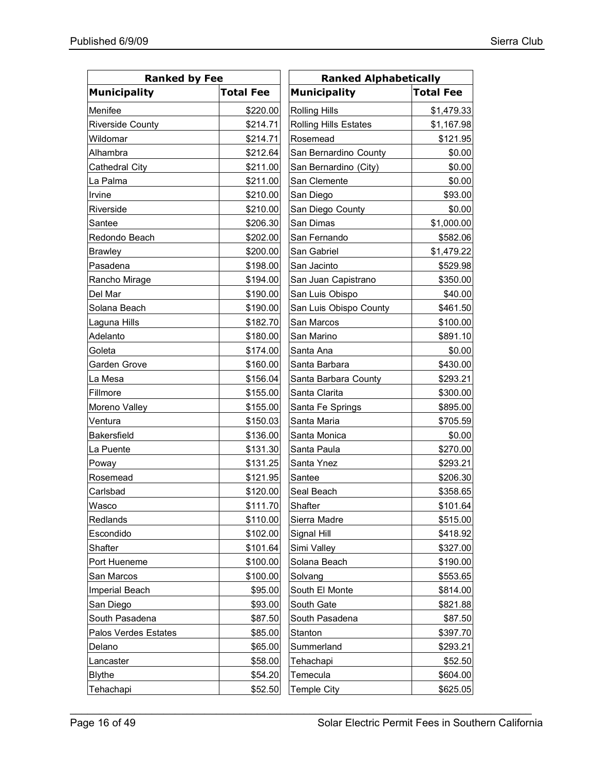| <b>Ranked by Fee</b>    |                  | <b>Ranked Alphabetically</b> |                  |  |  |
|-------------------------|------------------|------------------------------|------------------|--|--|
| <b>Municipality</b>     | <b>Total Fee</b> | <b>Municipality</b>          | <b>Total Fee</b> |  |  |
| Menifee                 | \$220.00         | <b>Rolling Hills</b>         | \$1,479.33       |  |  |
| <b>Riverside County</b> | \$214.71         | <b>Rolling Hills Estates</b> | \$1,167.98       |  |  |
| Wildomar                | \$214.71         | Rosemead                     | \$121.95         |  |  |
| Alhambra                | \$212.64         | San Bernardino County        | \$0.00           |  |  |
| Cathedral City          | \$211.00         | San Bernardino (City)        | \$0.00           |  |  |
| La Palma                | \$211.00         | San Clemente                 | \$0.00           |  |  |
| Irvine                  | \$210.00         | San Diego                    | \$93.00          |  |  |
| Riverside               | \$210.00         | San Diego County             | \$0.00           |  |  |
| Santee                  | \$206.30         | San Dimas                    | \$1,000.00       |  |  |
| Redondo Beach           | \$202.00         | San Fernando                 | \$582.06         |  |  |
| <b>Brawley</b>          | \$200.00         | San Gabriel                  | \$1,479.22       |  |  |
| Pasadena                | \$198.00         | San Jacinto                  | \$529.98         |  |  |
| Rancho Mirage           | \$194.00         | San Juan Capistrano          | \$350.00         |  |  |
| Del Mar                 | \$190.00         | San Luis Obispo              | \$40.00          |  |  |
| Solana Beach            | \$190.00         | San Luis Obispo County       | \$461.50         |  |  |
| Laguna Hills            | \$182.70         | San Marcos                   | \$100.00         |  |  |
| Adelanto                | \$180.00         | San Marino                   | \$891.10         |  |  |
| Goleta                  | \$174.00         | Santa Ana                    | \$0.00           |  |  |
| Garden Grove            | \$160.00         | Santa Barbara                | \$430.00         |  |  |
| La Mesa                 | \$156.04         | Santa Barbara County         | \$293.21         |  |  |
| Fillmore                | \$155.00         | Santa Clarita                | \$300.00         |  |  |
| Moreno Valley           | \$155.00         | Santa Fe Springs             | \$895.00         |  |  |
| Ventura                 | \$150.03         | Santa Maria                  | \$705.59         |  |  |
| Bakersfield             | \$136.00         | Santa Monica                 | \$0.00           |  |  |
| La Puente               | \$131.30         | Santa Paula                  | \$270.00         |  |  |
| Poway                   | \$131.25         | Santa Ynez                   | \$293.21         |  |  |
| Rosemead                | \$121.95         | Santee                       | \$206.30         |  |  |
| Carlsbad                | \$120.00         | Seal Beach                   | \$358.65         |  |  |
| Wasco                   | \$111.70         | Shafter                      | \$101.64         |  |  |
| Redlands                | \$110.00         | Sierra Madre                 | \$515.00         |  |  |
| Escondido               | \$102.00         | Signal Hill                  | \$418.92         |  |  |
| Shafter                 | \$101.64         | Simi Valley                  | \$327.00         |  |  |
| Port Hueneme            | \$100.00         | Solana Beach                 | \$190.00         |  |  |
| San Marcos              | \$100.00         | Solvang                      | \$553.65         |  |  |
| Imperial Beach          | \$95.00          | South El Monte               | \$814.00         |  |  |
| San Diego               | \$93.00          | South Gate                   | \$821.88         |  |  |
| South Pasadena          | \$87.50          | South Pasadena               | \$87.50          |  |  |
| Palos Verdes Estates    | \$85.00          | Stanton                      | \$397.70         |  |  |
| Delano                  | \$65.00          | Summerland                   | \$293.21         |  |  |
| Lancaster               | \$58.00          | Tehachapi                    | \$52.50          |  |  |
| <b>Blythe</b>           | \$54.20          | Temecula                     | \$604.00         |  |  |
| Tehachapi               | \$52.50          | <b>Temple City</b>           | \$625.05         |  |  |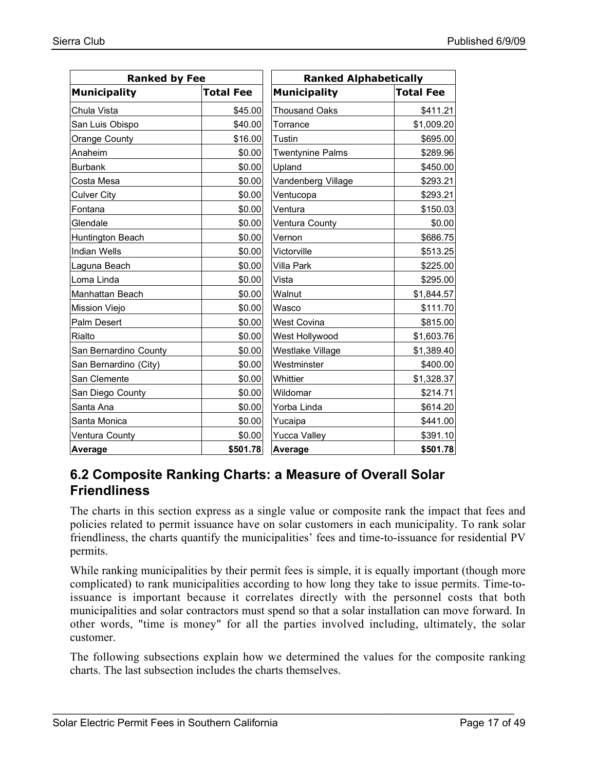| <b>Ranked by Fee</b>  |                  | <b>Ranked Alphabetically</b> |                  |  |
|-----------------------|------------------|------------------------------|------------------|--|
| <b>Municipality</b>   | <b>Total Fee</b> | <b>Municipality</b>          | <b>Total Fee</b> |  |
| Chula Vista           | \$45.00          | <b>Thousand Oaks</b>         | \$411.21         |  |
| San Luis Obispo       | \$40.00          | Torrance                     | \$1,009.20       |  |
| Orange County         | \$16.00          | Tustin                       | \$695.00         |  |
| Anaheim               | \$0.00           | <b>Twentynine Palms</b>      | \$289.96         |  |
| <b>Burbank</b>        | \$0.00           | Upland                       | \$450.00         |  |
| Costa Mesa            | \$0.00           | Vandenberg Village           | \$293.21         |  |
| <b>Culver City</b>    | \$0.00           | Ventucopa                    | \$293.21         |  |
| Fontana               | \$0.00           | Ventura                      | \$150.03         |  |
| Glendale              | \$0.00           | Ventura County               | \$0.00           |  |
| Huntington Beach      | \$0.00           | Vernon                       | \$686.75         |  |
| <b>Indian Wells</b>   | \$0.00           | Victorville                  | \$513.25         |  |
| Laguna Beach          | \$0.00           | <b>Villa Park</b>            | \$225.00         |  |
| Loma Linda            | \$0.00           | Vista                        | \$295.00         |  |
| Manhattan Beach       | \$0.00           | Walnut                       | \$1,844.57       |  |
| Mission Viejo         | \$0.00           | Wasco                        | \$111.70         |  |
| Palm Desert           | \$0.00           | <b>West Covina</b>           | \$815.00         |  |
| Rialto                | \$0.00           | West Hollywood               | \$1,603.76       |  |
| San Bernardino County | \$0.00           | Westlake Village             | \$1,389.40       |  |
| San Bernardino (City) | \$0.00           | Westminster                  | \$400.00]        |  |
| San Clemente          | \$0.00           | Whittier                     | \$1,328.37       |  |
| San Diego County      | \$0.00           | Wildomar                     | \$214.71         |  |
| Santa Ana             | \$0.00           | Yorba Linda                  | \$614.20         |  |
| Santa Monica          | \$0.00           | Yucaipa                      | \$441.00         |  |
| Ventura County        | \$0.00           | <b>Yucca Valley</b>          | \$391.10         |  |
| Average               | \$501.78         | Average                      | \$501.78         |  |

### **6.2 Composite Ranking Charts: a Measure of Overall Solar Friendliness**

The charts in this section express as a single value or composite rank the impact that fees and policies related to permit issuance have on solar customers in each municipality. To rank solar friendliness, the charts quantify the municipalities' fees and time-to-issuance for residential PV permits.

While ranking municipalities by their permit fees is simple, it is equally important (though more complicated) to rank municipalities according to how long they take to issue permits. Time-toissuance is important because it correlates directly with the personnel costs that both municipalities and solar contractors must spend so that a solar installation can move forward. In other words, "time is money" for all the parties involved including, ultimately, the solar customer.

The following subsections explain how we determined the values for the composite ranking charts. The last subsection includes the charts themselves.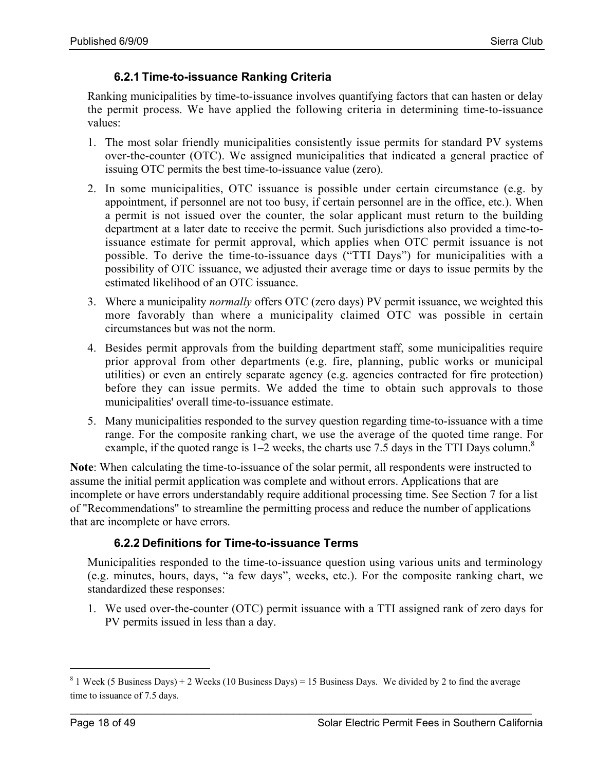#### **6.2.1 Time-to-issuance Ranking Criteria**

Ranking municipalities by time-to-issuance involves quantifying factors that can hasten or delay the permit process. We have applied the following criteria in determining time-to-issuance values:

- 1. The most solar friendly municipalities consistently issue permits for standard PV systems over-the-counter (OTC). We assigned municipalities that indicated a general practice of issuing OTC permits the best time-to-issuance value (zero).
- 2. In some municipalities, OTC issuance is possible under certain circumstance (e.g. by appointment, if personnel are not too busy, if certain personnel are in the office, etc.). When a permit is not issued over the counter, the solar applicant must return to the building department at a later date to receive the permit. Such jurisdictions also provided a time-toissuance estimate for permit approval, which applies when OTC permit issuance is not possible. To derive the time-to-issuance days ("TTI Days") for municipalities with a possibility of OTC issuance, we adjusted their average time or days to issue permits by the estimated likelihood of an OTC issuance.
- 3. Where a municipality *normally* offers OTC (zero days) PV permit issuance, we weighted this more favorably than where a municipality claimed OTC was possible in certain circumstances but was not the norm.
- 4. Besides permit approvals from the building department staff, some municipalities require prior approval from other departments (e.g. fire, planning, public works or municipal utilities) or even an entirely separate agency (e.g. agencies contracted for fire protection) before they can issue permits. We added the time to obtain such approvals to those municipalities' overall time-to-issuance estimate.
- 5. Many municipalities responded to the survey question regarding time-to-issuance with a time range. For the composite ranking chart, we use the average of the quoted time range. For example, if the quoted range is  $1-2$  weeks, the charts use 7.5 days in the TTI Days column.<sup>8</sup>

Note: When calculating the time-to-issuance of the solar permit, all respondents were instructed to assume the initial permit application was complete and without errors. Applications that are incomplete or have errors understandably require additional processing time. See Section 7 for a list of "Recommendations" to streamline the permitting process and reduce the number of applications that are incomplete or have errors.

#### **6.2.2 Definitions for Time-to-issuance Terms**

Municipalities responded to the time-to-issuance question using various units and terminology (e.g. minutes, hours, days, "a few days", weeks, etc.). For the composite ranking chart, we standardized these responses:

1. We used over-the-counter (OTC) permit issuance with a TTI assigned rank of zero days for PV permits issued in less than a day.

<sup>&</sup>lt;sup>8</sup> 1 Week (5 Business Days) + 2 Weeks (10 Business Days) = 15 Business Days. We divided by 2 to find the average time to issuance of 7.5 days.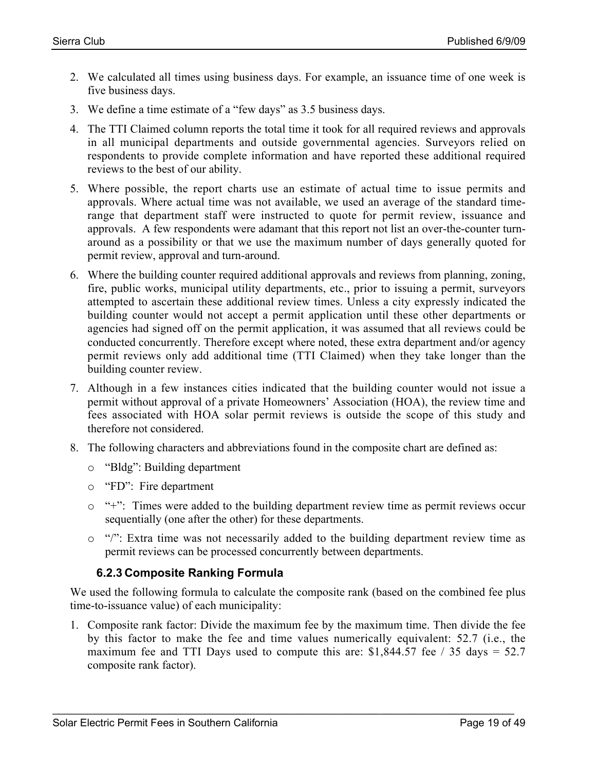- 2. We calculated all times using business days. For example, an issuance time of one week is five business days.
- 3. We define a time estimate of a "few days" as 3.5 business days.
- 4. The TTI Claimed column reports the total time it took for all required reviews and approvals in all municipal departments and outside governmental agencies. Surveyors relied on respondents to provide complete information and have reported these additional required reviews to the best of our ability.
- 5. Where possible, the report charts use an estimate of actual time to issue permits and approvals. Where actual time was not available, we used an average of the standard timerange that department staff were instructed to quote for permit review, issuance and approvals. A few respondents were adamant that this report not list an over-the-counter turnaround as a possibility or that we use the maximum number of days generally quoted for permit review, approval and turn-around.
- 6. Where the building counter required additional approvals and reviews from planning, zoning, fire, public works, municipal utility departments, etc., prior to issuing a permit, surveyors attempted to ascertain these additional review times. Unless a city expressly indicated the building counter would not accept a permit application until these other departments or agencies had signed off on the permit application, it was assumed that all reviews could be conducted concurrently. Therefore except where noted, these extra department and/or agency permit reviews only add additional time (TTI Claimed) when they take longer than the building counter review.
- 7. Although in a few instances cities indicated that the building counter would not issue a permit without approval of a private Homeowners' Association (HOA), the review time and fees associated with HOA solar permit reviews is outside the scope of this study and therefore not considered.
- 8. The following characters and abbreviations found in the composite chart are defined as:
	- o "Bldg": Building department
	- o "FD": Fire department
	- o "+": Times were added to the building department review time as permit reviews occur sequentially (one after the other) for these departments.
	- o "/": Extra time was not necessarily added to the building department review time as permit reviews can be processed concurrently between departments.

#### **6.2.3 Composite Ranking Formula**

We used the following formula to calculate the composite rank (based on the combined fee plus time-to-issuance value) of each municipality:

1. Composite rank factor: Divide the maximum fee by the maximum time. Then divide the fee by this factor to make the fee and time values numerically equivalent: 52.7 (i.e., the maximum fee and TTI Days used to compute this are:  $$1,844.57$  fee / 35 days = 52.7 composite rank factor).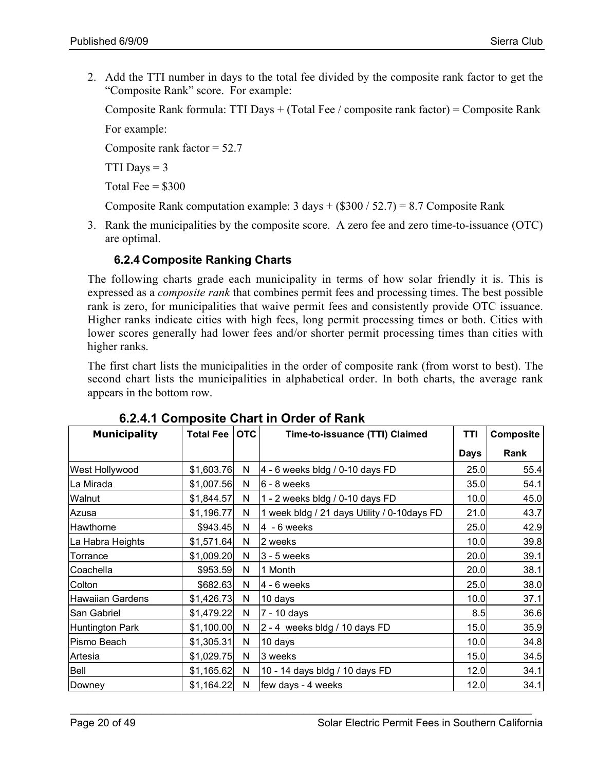2. Add the TTI number in days to the total fee divided by the composite rank factor to get the "Composite Rank" score. For example:

Composite Rank formula: TTI Days + (Total Fee / composite rank factor) = Composite Rank For example:

Composite rank factor  $= 52.7$ 

TTI Days  $= 3$ 

Total Fee  $=$  \$300

Composite Rank computation example: 3 days  $+(\$300 / 52.7) = 8.7$  Composite Rank

3. Rank the municipalities by the composite score. A zero fee and zero time-to-issuance (OTC) are optimal.

#### **6.2.4 Composite Ranking Charts**

The following charts grade each municipality in terms of how solar friendly it is. This is expressed as a *composite rank* that combines permit fees and processing times. The best possible rank is zero, for municipalities that waive permit fees and consistently provide OTC issuance. Higher ranks indicate cities with high fees, long permit processing times or both. Cities with lower scores generally had lower fees and/or shorter permit processing times than cities with higher ranks.

The first chart lists the municipalities in the order of composite rank (from worst to best). The second chart lists the municipalities in alphabetical order. In both charts, the average rank appears in the bottom row.

| <b>Municipality</b>     | Total Fee   OTC |   | Time-to-issuance (TTI) Claimed              | TTI         | <b>Composite</b> |
|-------------------------|-----------------|---|---------------------------------------------|-------------|------------------|
|                         |                 |   |                                             | <b>Days</b> | Rank             |
| West Hollywood          | \$1,603.76      | N | 4 - 6 weeks bldg / 0-10 days FD             | 25.0        | 55.4             |
| La Mirada               | \$1,007.56      | N | 6 - 8 weeks                                 | 35.0        | 54.1             |
| Walnut                  | \$1,844.57      | N | 1 - 2 weeks bldg / 0-10 days FD             | 10.0        | 45.0             |
| Azusa                   | \$1,196.77      | N | 1 week bldg / 21 days Utility / 0-10days FD | 21.0        | 43.7             |
| Hawthorne               | \$943.45        | N | $4 - 6$ weeks                               | 25.0        | 42.9             |
| La Habra Heights        | \$1,571.64      | N | 2 weeks                                     | 10.0        | 39.8             |
| Torrance                | \$1,009.20      | N | $3 - 5$ weeks                               | 20.0        | 39.1             |
| Coachella               | \$953.59        | N | 1 Month                                     | 20.0        | 38.1             |
| Colton                  | \$682.63        | N | $4 - 6$ weeks                               | 25.0        | 38.0             |
| <b>Hawaiian Gardens</b> | \$1,426.73      | N | 10 days                                     | 10.0        | 37.1             |
| San Gabriel             | \$1,479.22      | N | 7 - 10 days                                 | 8.5         | 36.6             |
| Huntington Park         | \$1,100.00      | N | 2 - 4 weeks bldg / 10 days FD               | 15.0        | 35.9             |
| Pismo Beach             | \$1,305.31      | N | 10 days                                     | 10.0        | 34.8             |
| Artesia                 | \$1,029.75      | N | 3 weeks                                     | 15.0        | 34.5             |
| Bell                    | \$1,165.62      | N | 10 - 14 days bldg / 10 days FD              | 12.0        | 34.1             |
| Downey                  | \$1,164.22      | N | few days - 4 weeks                          | 12.0        | 34.1             |

**6.2.4.1 Composite Chart in Order of Rank**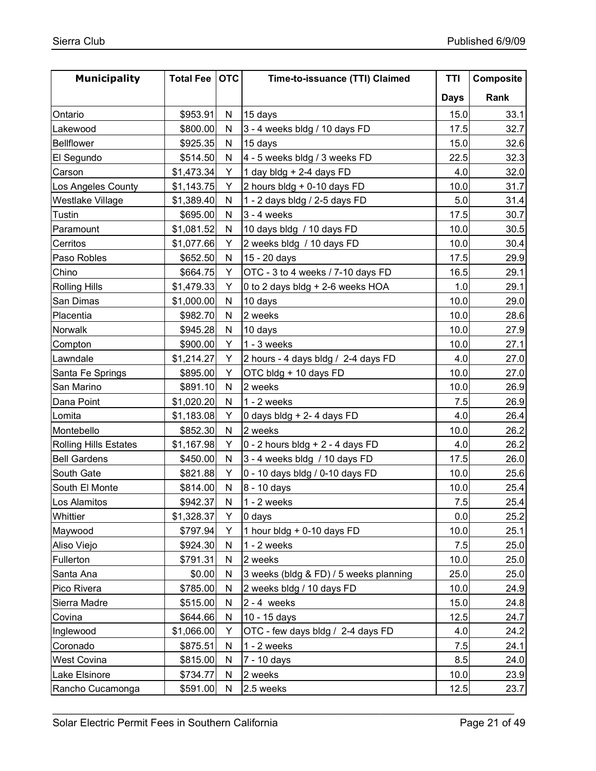| <b>Municipality</b>          | Total Fee   OTC |              | Time-to-issuance (TTI) Claimed         | TTI         | Composite |
|------------------------------|-----------------|--------------|----------------------------------------|-------------|-----------|
|                              |                 |              |                                        | <b>Days</b> | Rank      |
| Ontario                      | \$953.91        | N            | 15 days                                | 15.0        | 33.1      |
| Lakewood                     | \$800.00        | N            | 3 - 4 weeks bldg / 10 days FD          | 17.5        | 32.7      |
| <b>Bellflower</b>            | \$925.35        | N            | 15 days                                | 15.0        | 32.6      |
| El Segundo                   | \$514.50        | N            | 4 - 5 weeks bldg / 3 weeks FD          | 22.5        | 32.3      |
| Carson                       | \$1,473.34      | Y            | 1 day bldg + 2-4 days FD               | 4.0         | 32.0      |
| Los Angeles County           | \$1,143.75      | Y            | 2 hours bldg + 0-10 days FD            | 10.0        | 31.7      |
| Westlake Village             | \$1,389.40      | N            | 1 - 2 days bldg / 2-5 days FD          | 5.0         | 31.4      |
| Tustin                       | \$695.00        | $\mathsf{N}$ | $3 - 4$ weeks                          | 17.5        | 30.7      |
| Paramount                    | \$1,081.52      | N            | 10 days bldg / 10 days FD              | 10.0        | 30.5      |
| Cerritos                     | \$1,077.66      | Y            | 2 weeks bldg / 10 days FD              | 10.0        | 30.4      |
| Paso Robles                  | \$652.50        | N            | 15 - 20 days                           | 17.5        | 29.9      |
| Chino                        | \$664.75        | Y            | OTC - 3 to 4 weeks / 7-10 days FD      | 16.5        | 29.1      |
| <b>Rolling Hills</b>         | \$1,479.33      | Y            | 0 to 2 days bldg + 2-6 weeks HOA       | 1.0         | 29.1      |
| San Dimas                    | \$1,000.00      | N            | 10 days                                | 10.0        | 29.0      |
| Placentia                    | \$982.70        | N            | 2 weeks                                | 10.0        | 28.6      |
| Norwalk                      | \$945.28        | N            | 10 days                                | 10.0        | 27.9      |
| Compton                      | \$900.00        | Y            | $1 - 3$ weeks                          | 10.0        | 27.1      |
| Lawndale                     | \$1,214.27      | Y            | 2 hours - 4 days bldg / 2-4 days FD    | 4.0         | 27.0      |
| Santa Fe Springs             | \$895.00        | Y            | OTC bldg + 10 days FD                  | 10.0        | 27.0      |
| San Marino                   | \$891.10        | N            | 2 weeks                                | 10.0        | 26.9      |
| Dana Point                   | \$1,020.20      | N            | $1 - 2$ weeks                          | 7.5         | 26.9      |
| Lomita                       | \$1,183.08      | Y            | 0 days bldg + 2-4 days FD              | 4.0         | 26.4      |
| Montebello                   | \$852.30        | ${\sf N}$    | 2 weeks                                | 10.0        | 26.2      |
| <b>Rolling Hills Estates</b> | \$1,167.98      | Y            | $0 - 2$ hours bldg + 2 - 4 days FD     | 4.0         | 26.2      |
| <b>Bell Gardens</b>          | \$450.00        | N            | 3 - 4 weeks bldg / 10 days FD          | 17.5        | 26.0      |
| South Gate                   | \$821.88        | Y            | 0 - 10 days bldg / 0-10 days FD        | 10.0        | 25.6      |
| South El Monte               | \$814.00        | N            | 8 - 10 days                            | 10.0        | 25.4      |
| Los Alamitos                 | \$942.37        | $\mathsf{N}$ | $1 - 2$ weeks                          | 7.5         | 25.4      |
| Whittier                     | \$1,328.37      | Y            | 0 days                                 | 0.0         | 25.2      |
| Maywood                      | \$797.94        | Y            | 1 hour bldg + 0-10 days FD             | 10.0        | 25.1      |
| Aliso Viejo                  | \$924.30        | N            | $1 - 2$ weeks                          | 7.5         | 25.0      |
| Fullerton                    | \$791.31        | ${\sf N}$    | 2 weeks                                | 10.0        | 25.0      |
| Santa Ana                    | \$0.00          | N            | 3 weeks (bldg & FD) / 5 weeks planning | 25.0        | 25.0      |
| Pico Rivera                  | \$785.00        | ${\sf N}$    | 2 weeks bldg / 10 days FD              | 10.0        | 24.9      |
| Sierra Madre                 | \$515.00        | ${\sf N}$    | $2 - 4$ weeks                          | 15.0        | 24.8      |
| Covina                       | \$644.66        | ${\sf N}$    | 10 - 15 days                           | 12.5        | 24.7      |
| Inglewood                    | \$1,066.00      | Υ            | OTC - few days bldg / 2-4 days FD      | 4.0         | 24.2      |
| Coronado                     | \$875.51        | N            | $1 - 2$ weeks                          | 7.5         | 24.1      |
| West Covina                  | \$815.00        | N            | 7 - 10 days                            | 8.5         | 24.0      |
| Lake Elsinore                | \$734.77        | N            | 2 weeks                                | 10.0        | 23.9      |
| Rancho Cucamonga             | \$591.00        | ${\sf N}$    | 2.5 weeks                              | 12.5        | 23.7      |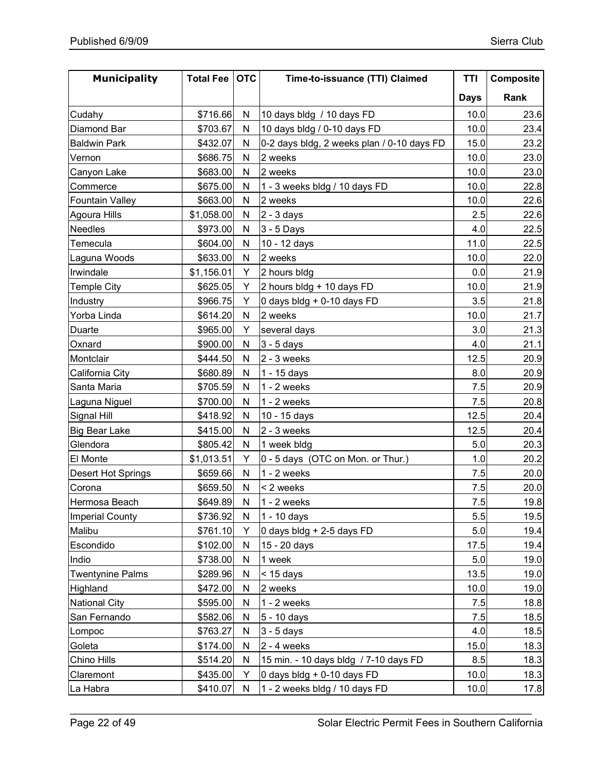| <b>Municipality</b>       | <b>Total Fee</b> | <b>OTC</b>   | Time-to-issuance (TTI) Claimed             |             | <b>Composite</b> |
|---------------------------|------------------|--------------|--------------------------------------------|-------------|------------------|
|                           |                  |              |                                            | <b>Days</b> | Rank             |
| Cudahy                    | \$716.66         | N            | 10 days bldg / 10 days FD                  | 10.0        | 23.6             |
| Diamond Bar               | \$703.67         | N            | 10 days bldg / 0-10 days FD                | 10.0        | 23.4             |
| <b>Baldwin Park</b>       | \$432.07         | N            | 0-2 days bldg, 2 weeks plan / 0-10 days FD | 15.0        | 23.2             |
| Vernon                    | \$686.75         | $\mathsf{N}$ | 2 weeks                                    | 10.0        | 23.0             |
| Canyon Lake               | \$683.00         | N            | 2 weeks                                    | 10.0        | 23.0             |
| Commerce                  | \$675.00         | N            | 1 - 3 weeks bldg / 10 days FD              | 10.0        | 22.8             |
| <b>Fountain Valley</b>    | \$663.00         | N            | 2 weeks                                    | 10.0        | 22.6             |
| Agoura Hills              | \$1,058.00       | N            | $2 - 3$ days                               | 2.5         | 22.6             |
| <b>Needles</b>            | \$973.00         | N            | 3 - 5 Days                                 | 4.0         | 22.5             |
| Temecula                  | \$604.00         | $\mathsf{N}$ | 10 - 12 days                               | 11.0        | 22.5             |
| Laguna Woods              | \$633.00         | N            | 2 weeks                                    | 10.0        | 22.0             |
| Irwindale                 | \$1,156.01       | Y            | 2 hours bldg                               | 0.0         | 21.9             |
| <b>Temple City</b>        | \$625.05         | Y            | 2 hours bldg + 10 days FD                  | 10.0        | 21.9             |
| Industry                  | \$966.75         | Y            | 0 days bldg + 0-10 days FD                 | 3.5         | 21.8             |
| Yorba Linda               | \$614.20         | $\mathsf{N}$ | 2 weeks                                    | 10.0        | 21.7             |
| Duarte                    | \$965.00         | Y            | several days                               | 3.0         | 21.3             |
| Oxnard                    | \$900.00         | $\mathsf{N}$ | $3 - 5$ days                               | 4.0         | 21.1             |
| Montclair                 | \$444.50         | N            | $2 - 3$ weeks                              | 12.5        | 20.9             |
| California City           | \$680.89         | N            | 1 - 15 days                                | 8.0         | 20.9             |
| Santa Maria               | \$705.59         | N            | $1 - 2$ weeks                              | 7.5         | 20.9             |
| Laguna Niguel             | \$700.00         | $\mathsf{N}$ | $1 - 2$ weeks                              | 7.5         | 20.8             |
| Signal Hill               | \$418.92         | N            | 10 - 15 days                               | 12.5        | 20.4             |
| <b>Big Bear Lake</b>      | \$415.00         | ${\sf N}$    | $2 - 3$ weeks                              | 12.5        | 20.4             |
| Glendora                  | \$805.42         | ${\sf N}$    | 1 week bldg                                | 5.0         | 20.3             |
| El Monte                  | \$1,013.51       | Y            | 0 - 5 days (OTC on Mon. or Thur.)          | 1.0         | 20.2             |
| <b>Desert Hot Springs</b> | \$659.66         | $\mathsf{N}$ | $1 - 2$ weeks                              | 7.5         | 20.0             |
| Corona                    | \$659.50         | N            | < 2 weeks                                  | 7.5         | 20.0             |
| Hermosa Beach             | \$649.89         | $\mathsf{N}$ | $1 - 2$ weeks                              | 7.5         | 19.8             |
| <b>Imperial County</b>    | \$736.92         | N            | 1 - 10 days                                | 5.5         | 19.5             |
| Malibu                    | \$761.10         | Y            | 0 days bldg + 2-5 days FD                  | 5.0         | 19.4             |
| Escondido                 | \$102.00         | N            | 15 - 20 days                               | 17.5        | 19.4             |
| Indio                     | \$738.00         | ${\sf N}$    | 1 week                                     | 5.0         | 19.0             |
| <b>Twentynine Palms</b>   | \$289.96         | N            | $<$ 15 days                                | 13.5        | 19.0             |
| Highland                  | \$472.00         | ${\sf N}$    | 2 weeks                                    | 10.0        | 19.0             |
| <b>National City</b>      | \$595.00         | N            | $1 - 2$ weeks                              | 7.5         | 18.8             |
| San Fernando              | \$582.06         | ${\sf N}$    | 5 - 10 days                                | 7.5         | 18.5             |
| Lompoc                    | \$763.27         | ${\sf N}$    | $3 - 5$ days                               | 4.0         | 18.5             |
| Goleta                    | \$174.00         | N            | $2 - 4$ weeks                              | 15.0        | 18.3             |
| Chino Hills               | \$514.20         | ${\sf N}$    | 15 min. - 10 days bldg / 7-10 days FD      | 8.5         | 18.3             |
| Claremont                 | \$435.00         | Y            | 0 days bldg + 0-10 days FD                 | 10.0        | 18.3             |
| La Habra                  | \$410.07         | ${\sf N}$    | 1 - 2 weeks bldg / 10 days FD              | 10.0        | 17.8             |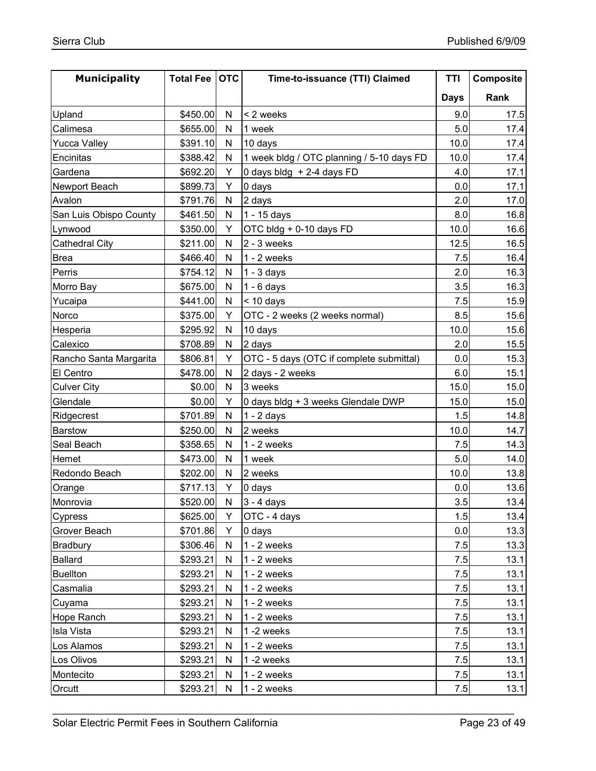| <b>Municipality</b>    | Total Fee   OTC |              | Time-to-issuance (TTI) Claimed            | TTI         | Composite |
|------------------------|-----------------|--------------|-------------------------------------------|-------------|-----------|
|                        |                 |              |                                           | <b>Days</b> | Rank      |
| Upland                 | \$450.00        | N            | < 2 weeks                                 | 9.0         | 17.5      |
| Calimesa               | \$655.00        | N            | 1 week                                    | 5.0         | 17.4      |
| <b>Yucca Valley</b>    | \$391.10        | N            | 10 days                                   | 10.0        | 17.4      |
| Encinitas              | \$388.42        | $\mathsf{N}$ | 1 week bldg / OTC planning / 5-10 days FD | 10.0        | 17.4      |
| Gardena                | \$692.20        | Y            | 0 days bldg + 2-4 days FD                 | 4.0         | 17.1      |
| Newport Beach          | \$899.73        | Υ            | 0 days                                    | 0.0         | 17.1      |
| Avalon                 | \$791.76        | N            | 2 days                                    | 2.0         | 17.0      |
| San Luis Obispo County | \$461.50        | N            | 1 - 15 days                               | 8.0         | 16.8      |
| Lynwood                | \$350.00        | Y            | OTC bldg + 0-10 days FD                   | 10.0        | 16.6      |
| <b>Cathedral City</b>  | \$211.00        | ${\sf N}$    | $2 - 3$ weeks                             | 12.5        | 16.5      |
| <b>Brea</b>            | \$466.40        | $\mathsf{N}$ | $1 - 2$ weeks                             | 7.5         | 16.4      |
| Perris                 | \$754.12        | ${\sf N}$    | $1 - 3$ days                              | 2.0         | 16.3      |
| Morro Bay              | \$675.00        | ${\sf N}$    | $1 - 6$ days                              | 3.5         | 16.3      |
| Yucaipa                | \$441.00        | ${\sf N}$    | $<$ 10 days                               | 7.5         | 15.9      |
| Norco                  | \$375.00        | Υ            | OTC - 2 weeks (2 weeks normal)            | 8.5         | 15.6      |
| Hesperia               | \$295.92        | N            | 10 days                                   | 10.0        | 15.6      |
| Calexico               | \$708.89        | N            | 2 days                                    | 2.0         | 15.5      |
| Rancho Santa Margarita | \$806.81        | Y            | OTC - 5 days (OTC if complete submittal)  | 0.0         | 15.3      |
| El Centro              | \$478.00        | ${\sf N}$    | 2 days - 2 weeks                          | 6.0         | 15.1      |
| <b>Culver City</b>     | \$0.00          | N            | 3 weeks                                   | 15.0        | 15.0      |
| Glendale               | \$0.00          | Y            | 0 days bldg + 3 weeks Glendale DWP        | 15.0        | 15.0      |
| Ridgecrest             | \$701.89        | ${\sf N}$    | $1 - 2$ days                              | 1.5         | 14.8      |
| Barstow                | \$250.00        | $\mathsf{N}$ | 2 weeks                                   | 10.0        | 14.7      |
| Seal Beach             | \$358.65        | N            | $1 - 2$ weeks                             | 7.5         | 14.3      |
| Hemet                  | \$473.00        | N            | 1 week                                    | 5.0         | 14.0      |
| Redondo Beach          | \$202.00        | $\mathsf{N}$ | 2 weeks                                   | 10.0        | 13.8      |
| Orange                 | \$717.13        | Y            | 0 days                                    | 0.0         | 13.6      |
| Monrovia               | \$520.00        | N            | $3 - 4$ days                              | 3.5         | 13.4      |
| Cypress                | \$625.00        | Y            | OTC - 4 days                              | 1.5         | 13.4      |
| Grover Beach           | \$701.86        | Y            | 0 days                                    | 0.0         | 13.3      |
| Bradbury               | \$306.46        | N            | $1 - 2$ weeks                             | 7.5         | 13.3      |
| Ballard                | \$293.21        | ${\sf N}$    | $1 - 2$ weeks                             | 7.5         | 13.1      |
| <b>Buellton</b>        | \$293.21        | N            | $1 - 2$ weeks                             | 7.5         | 13.1      |
| Casmalia               | \$293.21        | ${\sf N}$    | $1 - 2$ weeks                             | 7.5         | 13.1      |
| Cuyama                 | \$293.21        | ${\sf N}$    | $1 - 2$ weeks                             | 7.5         | 13.1      |
| <b>Hope Ranch</b>      | \$293.21        | ${\sf N}$    | $1 - 2$ weeks                             | 7.5         | 13.1      |
| <b>Isla Vista</b>      | \$293.21        | N            | $1 - 2$ weeks                             | 7.5         | 13.1      |
| Los Alamos             | \$293.21        | N            | $1 - 2$ weeks                             | 7.5         | 13.1      |
| Los Olivos             | \$293.21        | ${\sf N}$    | 1-2 weeks                                 | 7.5         | 13.1      |
| Montecito              | \$293.21        | N            | $1 - 2$ weeks                             | 7.5         | 13.1      |
| Orcutt                 | \$293.21        | N            | $1 - 2$ weeks                             | 7.5         | 13.1      |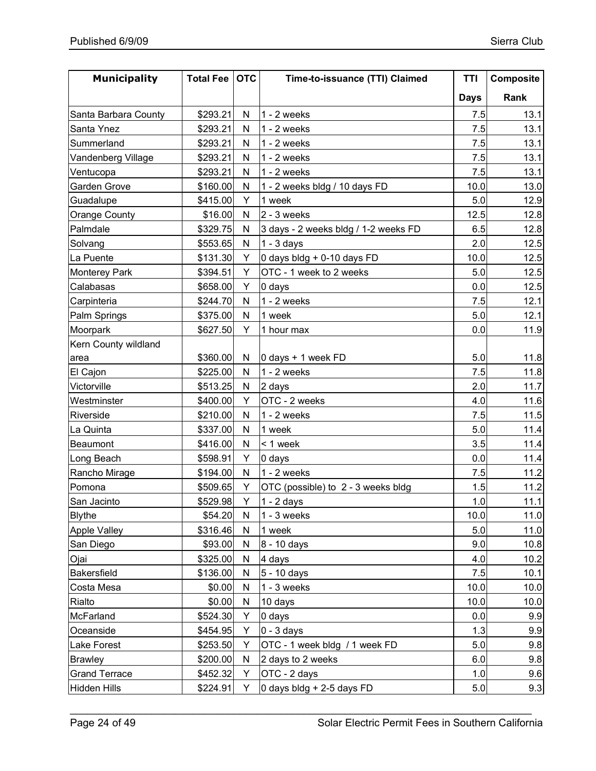| <b>Municipality</b>  | <b>Total Fee</b> | <b>OTC</b>   | Time-to-issuance (TTI) Claimed       | TTI         | Composite |
|----------------------|------------------|--------------|--------------------------------------|-------------|-----------|
|                      |                  |              |                                      | <b>Days</b> | Rank      |
| Santa Barbara County | \$293.21         | N            | $1 - 2$ weeks                        | 7.5         | 13.1      |
| Santa Ynez           | \$293.21         | N            | $1 - 2$ weeks                        | 7.5         | 13.1      |
| Summerland           | \$293.21         | N            | $1 - 2$ weeks                        | 7.5         | 13.1      |
| Vandenberg Village   | \$293.21         | $\mathsf{N}$ | $1 - 2$ weeks                        | 7.5         | 13.1      |
| Ventucopa            | \$293.21         | N            | $1 - 2$ weeks                        | 7.5         | 13.1      |
| Garden Grove         | \$160.00         | N            | 1 - 2 weeks bldg / 10 days FD        | 10.0        | 13.0      |
| Guadalupe            | \$415.00         | Y            | 1 week                               | 5.0         | 12.9      |
| Orange County        | \$16.00          | $\mathsf{N}$ | $2 - 3$ weeks                        | 12.5        | 12.8      |
| Palmdale             | \$329.75         | N            | 3 days - 2 weeks bldg / 1-2 weeks FD | 6.5         | 12.8      |
| Solvang              | \$553.65         | $\mathsf{N}$ | $1 - 3$ days                         | 2.0         | 12.5      |
| La Puente            | \$131.30         | Y            | 0 days bldg + 0-10 days FD           | 10.0        | 12.5      |
| Monterey Park        | \$394.51         | Y            | OTC - 1 week to 2 weeks              | 5.0         | 12.5      |
| Calabasas            | \$658.00         | Y            | 0 days                               | 0.0         | 12.5      |
| Carpinteria          | \$244.70         | ${\sf N}$    | $1 - 2$ weeks                        | 7.5         | 12.1      |
| Palm Springs         | \$375.00         | $\mathsf{N}$ | 1 week                               | 5.0         | 12.1      |
| Moorpark             | \$627.50         | Y            | 1 hour max                           | 0.0         | 11.9      |
| Kern County wildland |                  |              |                                      |             |           |
| area                 | \$360.00         | N            | 0 days + 1 week FD                   | 5.0         | 11.8      |
| El Cajon             | \$225.00         | $\mathsf{N}$ | $1 - 2$ weeks                        | 7.5         | 11.8      |
| Victorville          | \$513.25         | N            | 2 days                               | 2.0         | 11.7      |
| Westminster          | \$400.00         | Y            | OTC - 2 weeks                        | 4.0         | 11.6      |
| Riverside            | \$210.00         | $\mathsf{N}$ | $1 - 2$ weeks                        | 7.5         | 11.5      |
| La Quinta            | \$337.00         | ${\sf N}$    | 1 week                               | 5.0         | 11.4      |
| Beaumont             | \$416.00         | $\mathsf{N}$ | < 1 week                             | 3.5         | 11.4      |
| Long Beach           | \$598.91         | Y            | 0 days                               | 0.0         | 11.4      |
| Rancho Mirage        | \$194.00         | $\mathsf{N}$ | $1 - 2$ weeks                        | 7.5         | 11.2      |
| Pomona               | \$509.65         | Y            | OTC (possible) to 2 - 3 weeks bldg   | 1.5         | 11.2      |
| San Jacinto          | \$529.98         | Y            | $1 - 2$ days                         | 1.0         | 11.1      |
| <b>Blythe</b>        | \$54.20          | N            | $1 - 3$ weeks                        | 10.0        | 11.0      |
| <b>Apple Valley</b>  | \$316.46         | ${\sf N}$    | 1 week                               | 5.0         | 11.0      |
| San Diego            | \$93.00          | N            | 8 - 10 days                          | 9.0         | 10.8      |
| Ojai                 | \$325.00         | ${\sf N}$    | 4 days                               | 4.0         | 10.2      |
| Bakersfield          | \$136.00         | ${\sf N}$    | 5 - 10 days                          | 7.5         | 10.1      |
| Costa Mesa           | \$0.00           | ${\sf N}$    | $1 - 3$ weeks                        | 10.0        | 10.0      |
| Rialto               | \$0.00           | ${\sf N}$    | 10 days                              | 10.0        | 10.0      |
| McFarland            | \$524.30         | Y            | 0 days                               | 0.0         | 9.9       |
| Oceanside            | \$454.95         | Υ            | $0 - 3$ days                         | 1.3         | 9.9       |
| Lake Forest          | \$253.50         | Y            | OTC - 1 week bldg / 1 week FD        | 5.0         | 9.8       |
| <b>Brawley</b>       | \$200.00         | $\mathsf{N}$ | 2 days to 2 weeks                    | 6.0         | 9.8       |
| <b>Grand Terrace</b> | \$452.32         | Y            | OTC - 2 days                         | 1.0         | 9.6       |
| <b>Hidden Hills</b>  | \$224.91         | Y            | 0 days bldg + 2-5 days FD            | 5.0         | 9.3       |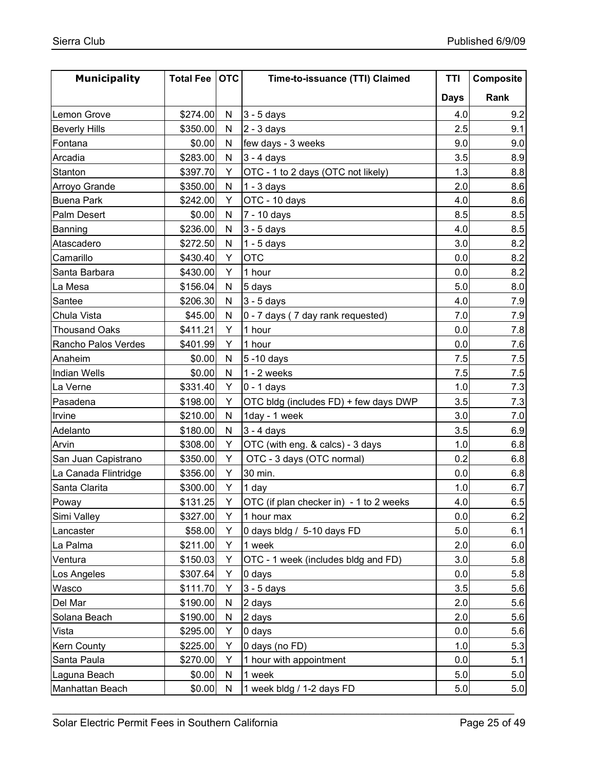| <b>Municipality</b>  | Total Fee   OTC |              | Time-to-issuance (TTI) Claimed          | TTI         | Composite |
|----------------------|-----------------|--------------|-----------------------------------------|-------------|-----------|
|                      |                 |              |                                         | <b>Days</b> | Rank      |
| Lemon Grove          | \$274.00        | N            | $3 - 5$ days                            | 4.0         | 9.2       |
| <b>Beverly Hills</b> | \$350.00        | N            | $2 - 3$ days                            | 2.5         | 9.1       |
| Fontana              | \$0.00          | N            | few days - 3 weeks                      | 9.0         | 9.0       |
| Arcadia              | \$283.00        | $\mathsf{N}$ | $3 - 4$ days                            | 3.5         | 8.9       |
| Stanton              | \$397.70        | Y            | OTC - 1 to 2 days (OTC not likely)      | 1.3         | 8.8       |
| Arroyo Grande        | \$350.00        | N            | $1 - 3$ days                            | 2.0         | 8.6       |
| <b>Buena Park</b>    | \$242.00        | Y            | OTC - 10 days                           | 4.0         | 8.6       |
| Palm Desert          | \$0.00          | ${\sf N}$    | 7 - 10 days                             | 8.5         | 8.5       |
| Banning              | \$236.00        | N            | $3 - 5$ days                            | 4.0         | 8.5       |
| Atascadero           | \$272.50        | $\mathsf{N}$ | $1 - 5$ days                            | 3.0         | 8.2       |
| Camarillo            | \$430.40        | Y            | <b>OTC</b>                              | 0.0         | 8.2       |
| Santa Barbara        | \$430.00        | Y            | 1 hour                                  | 0.0         | 8.2       |
| La Mesa              | \$156.04        | ${\sf N}$    | 5 days                                  | 5.0         | 8.0       |
| Santee               | \$206.30        | N            | $3 - 5$ days                            | 4.0         | 7.9       |
| Chula Vista          | \$45.00         | $\mathsf{N}$ | 0 - 7 days (7 day rank requested)       | 7.0         | 7.9       |
| <b>Thousand Oaks</b> | \$411.21        | Y            | 1 hour                                  | 0.0         | 7.8       |
| Rancho Palos Verdes  | \$401.99        | Y            | 1 hour                                  | 0.0         | 7.6       |
| Anaheim              | \$0.00          | N            | 5-10 days                               | 7.5         | 7.5       |
| <b>Indian Wells</b>  | \$0.00          | N            | $1 - 2$ weeks                           | 7.5         | 7.5       |
| La Verne             | \$331.40        | Y            | $0 - 1$ days                            | 1.0         | 7.3       |
| Pasadena             | \$198.00        | Y            | OTC bldg (includes FD) + few days DWP   | 3.5         | 7.3       |
| Irvine               | \$210.00        | ${\sf N}$    | 1day - 1 week                           | 3.0         | 7.0       |
| Adelanto             | \$180.00        | ${\sf N}$    | $3 - 4$ days                            | 3.5         | 6.9       |
| Arvin                | \$308.00        | Υ            | OTC (with eng. & calcs) - 3 days        | 1.0         | 6.8       |
| San Juan Capistrano  | \$350.00        | Y            | OTC - 3 days (OTC normal)               | 0.2         | 6.8       |
| La Canada Flintridge | \$356.00        | Y            | 30 min.                                 | 0.0         | 6.8       |
| Santa Clarita        | \$300.00        | Y            | 1 day                                   | 1.0         | 6.7       |
| Poway                | \$131.25        | Y            | OTC (if plan checker in) - 1 to 2 weeks | 4.0         | 6.5       |
| Simi Valley          | \$327.00        | Y            | 1 hour max                              | 0.0         | 6.2       |
| Lancaster            | \$58.00         | Y            | 0 days bldg / 5-10 days FD              | 5.0         | 6.1       |
| La Palma             | \$211.00        | Y            | 1 week                                  | 2.0         | 6.0       |
| Ventura              | \$150.03        | Y            | OTC - 1 week (includes bldg and FD)     | 3.0         | 5.8       |
| Los Angeles          | \$307.64        | Υ            | 0 days                                  | 0.0         | 5.8       |
| Wasco                | \$111.70        | Y            | $3 - 5$ days                            | 3.5         | 5.6       |
| Del Mar              | \$190.00        | N            | 2 days                                  | 2.0         | 5.6       |
| Solana Beach         | \$190.00        | ${\sf N}$    | 2 days                                  | 2.0         | 5.6       |
| Vista                | \$295.00        | Υ            | $0$ days                                | 0.0         | 5.6       |
| Kern County          | \$225.00        | Υ            | 0 days (no FD)                          | 1.0         | 5.3       |
| Santa Paula          | \$270.00        | Υ            | 1 hour with appointment                 | 0.0         | 5.1       |
| Laguna Beach         | \$0.00          | N            | 1 week                                  | 5.0         | 5.0       |
| Manhattan Beach      | \$0.00          | ${\sf N}$    | 1 week bldg / 1-2 days FD               | 5.0         | 5.0       |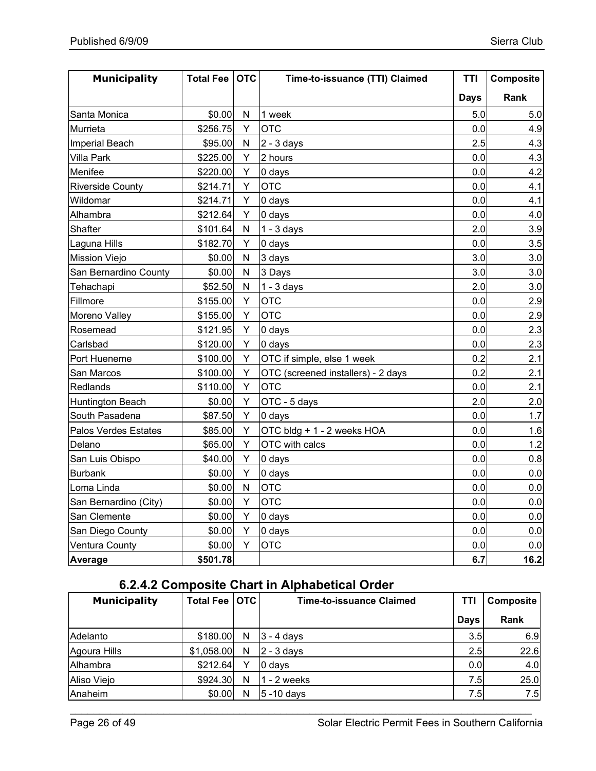| <b>Municipality</b>     | Total Fee | <b>OTC</b>   | Time-to-issuance (TTI) Claimed     | <b>TTI</b>  | Composite |
|-------------------------|-----------|--------------|------------------------------------|-------------|-----------|
|                         |           |              |                                    | <b>Days</b> | Rank      |
| Santa Monica            | \$0.00    | $\mathsf{N}$ | 1 week                             | 5.0         | 5.0       |
| Murrieta                | \$256.75  | Υ            | <b>OTC</b>                         | 0.0         | 4.9       |
| Imperial Beach          | \$95.00   | $\mathsf{N}$ | $2 - 3$ days                       | 2.5         | 4.3       |
| <b>Villa Park</b>       | \$225.00  | Y            | 2 hours                            | 0.0         | 4.3       |
| Menifee                 | \$220.00  | Y            | 0 days                             | 0.0         | 4.2       |
| <b>Riverside County</b> | \$214.71  | Y            | <b>OTC</b>                         | 0.0         | 4.1       |
| Wildomar                | \$214.71  | Y            | 0 days                             | 0.0         | 4.1       |
| Alhambra                | \$212.64  | Y            | 0 days                             | 0.0         | 4.0       |
| Shafter                 | \$101.64  | $\mathsf{N}$ | $1 - 3$ days                       | 2.0         | 3.9       |
| Laguna Hills            | \$182.70  | Υ            | 0 days                             | 0.0         | 3.5       |
| <b>Mission Viejo</b>    | \$0.00    | $\mathsf{N}$ | 3 days                             | 3.0         | 3.0       |
| San Bernardino County   | \$0.00    | $\mathsf{N}$ | 3 Days                             | 3.0         | 3.0       |
| Tehachapi               | \$52.50   | $\mathsf{N}$ | $1 - 3$ days                       | 2.0         | 3.0       |
| Fillmore                | \$155.00  | Υ            | <b>OTC</b>                         | 0.0         | 2.9       |
| Moreno Valley           | \$155.00  | Υ            | <b>OTC</b>                         | 0.0         | 2.9       |
| Rosemead                | \$121.95  | Υ            | 0 days                             | 0.0         | 2.3       |
| Carlsbad                | \$120.00  | Y            | 0 days                             | 0.0         | 2.3       |
| Port Hueneme            | \$100.00  | Y            | OTC if simple, else 1 week         | 0.2         | 2.1       |
| San Marcos              | \$100.00  | Υ            | OTC (screened installers) - 2 days | 0.2         | 2.1       |
| Redlands                | \$110.00  | Y            | <b>OTC</b>                         | 0.0         | 2.1       |
| Huntington Beach        | \$0.00    | Y            | OTC - 5 days                       | 2.0         | 2.0       |
| South Pasadena          | \$87.50   | Y            | 0 days                             | 0.0         | 1.7       |
| Palos Verdes Estates    | \$85.00   | Y            | OTC bldg + 1 - 2 weeks HOA         | 0.0         | 1.6       |
| Delano                  | \$65.00   | Y            | OTC with calcs                     | 0.0         | 1.2       |
| San Luis Obispo         | \$40.00   | Y            | 0 days                             | 0.0         | 0.8       |
| <b>Burbank</b>          | \$0.00    | Y            | 0 days                             | 0.0         | 0.0       |
| Loma Linda              | \$0.00    | N            | <b>OTC</b>                         | 0.0         | 0.0       |
| San Bernardino (City)   | \$0.00    | Υ            | <b>OTC</b>                         | 0.0         | 0.0       |
| San Clemente            | \$0.00    | Y            | 0 days                             | 0.0         | $0.0\,$   |
| San Diego County        | \$0.00    | Y            | 0 days                             | 0.0         | 0.0       |
| Ventura County          | \$0.00    | Y            | <b>OTC</b>                         | 0.0         | 0.0       |
| Average                 | \$501.78  |              |                                    | 6.7         | 16.2      |

### **6.2.4.2 Composite Chart in Alphabetical Order**

| <b>Municipality</b> | <b>Total Fee</b> | <b>OTC</b> | Time-to-issuance Claimed | TTI         | <b>Composite</b> |
|---------------------|------------------|------------|--------------------------|-------------|------------------|
|                     |                  |            |                          | <b>Days</b> | Rank             |
| Adelanto            | \$180.00         | N          | $3 - 4$ days             | 3.5         | 6.9              |
| Agoura Hills        | \$1,058.00       | N          | 2 - 3 davs               | 2.5         | 22.6             |
| Alhambra            | \$212.64         | v          | 0 days                   | 0.0         | 4.0              |
| Aliso Viejo         | \$924.30         | N          | $1 - 2$ weeks            | 7.5         | 25.0             |
| Anaheim             | \$0.00           | N          | $ 5 - 10$ days           | 7.51        | 7.5              |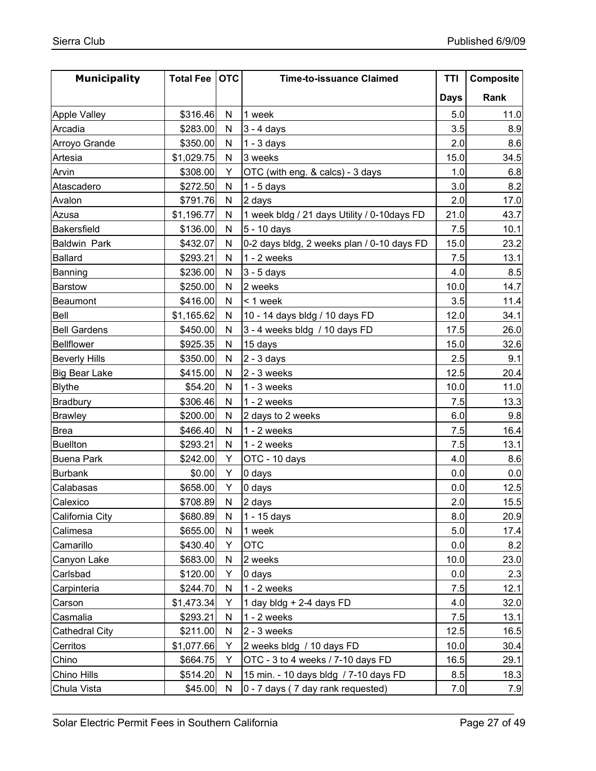| <b>Municipality</b>   | <b>Total Fee</b> | <b>OTC</b>   | <b>Time-to-issuance Claimed</b>             | TTI         | Composite |
|-----------------------|------------------|--------------|---------------------------------------------|-------------|-----------|
|                       |                  |              |                                             | <b>Days</b> | Rank      |
| <b>Apple Valley</b>   | \$316.46]        | N            | 1 week                                      | 5.0         | 11.0      |
| Arcadia               | \$283.00         | N            | $3 - 4$ days                                | 3.5         | 8.9       |
| Arroyo Grande         | \$350.00         | N            | $1 - 3$ days                                | 2.0         | 8.6       |
| Artesia               | \$1,029.75       | N            | 3 weeks                                     | 15.0        | 34.5      |
| Arvin                 | \$308.00         | Y            | OTC (with eng. & calcs) - 3 days            | 1.0         | 6.8       |
| Atascadero            | \$272.50         | N            | $1 - 5$ days                                | 3.0         | 8.2       |
| Avalon                | \$791.76         | N            | 2 days                                      | 2.0         | 17.0      |
| Azusa                 | \$1,196.77       | $\mathsf{N}$ | 1 week bldg / 21 days Utility / 0-10days FD | 21.0        | 43.7      |
| <b>Bakersfield</b>    | \$136.00         | N            | 5 - 10 days                                 | 7.5         | 10.1      |
| <b>Baldwin Park</b>   | \$432.07         | N            | 0-2 days bldg, 2 weeks plan / 0-10 days FD  | 15.0        | 23.2      |
| Ballard               | \$293.21         | N            | $1 - 2$ weeks                               | 7.5         | 13.1      |
| Banning               | \$236.00         | N            | $3 - 5$ days                                | 4.0         | 8.5       |
| <b>Barstow</b>        | \$250.00         | N            | 2 weeks                                     | 10.0        | 14.7      |
| Beaumont              | \$416.00         | N            | < 1 week                                    | 3.5         | 11.4      |
| Bell                  | \$1,165.62       | N            | 10 - 14 days bldg / 10 days FD              | 12.0        | 34.1      |
| <b>Bell Gardens</b>   | \$450.00         | N            | 3 - 4 weeks bldg / 10 days FD               | 17.5        | 26.0      |
| <b>Bellflower</b>     | \$925.35         | $\mathsf{N}$ | 15 days                                     | 15.0        | 32.6      |
| <b>Beverly Hills</b>  | \$350.00         | N            | $2 - 3$ days                                | 2.5         | 9.1       |
| <b>Big Bear Lake</b>  | \$415.00         | N            | $2 - 3$ weeks                               | 12.5        | 20.4      |
| <b>Blythe</b>         | \$54.20          | N            | $1 - 3$ weeks                               | 10.0        | 11.0      |
| Bradbury              | \$306.46         | $\mathsf{N}$ | $1 - 2$ weeks                               | 7.5         | 13.3      |
| <b>Brawley</b>        | \$200.00         | N            | 2 days to 2 weeks                           | 6.0         | 9.8       |
| <b>Brea</b>           | \$466.40         | ${\sf N}$    | $1 - 2$ weeks                               | 7.5         | 16.4      |
| <b>Buellton</b>       | \$293.21         | N            | $1 - 2$ weeks                               | 7.5         | 13.1      |
| <b>Buena Park</b>     | \$242.00         | Y            | OTC - 10 days                               | 4.0         | 8.6       |
| <b>Burbank</b>        | \$0.00           | Y            | 0 days                                      | 0.0         | 0.0       |
| Calabasas             | \$658.00         | Y            | 0 days                                      | 0.0         | 12.5      |
| Calexico              | \$708.89         | $\mathsf{N}$ | 2 days                                      | 2.0         | 15.5      |
| California City       | \$680.89         | N            | $1 - 15$ days                               | 8.0         | 20.9      |
| Calimesa              | \$655.00         | N            | 1 week                                      | 5.0         | 17.4      |
| Camarillo             | \$430.40         | Y            | <b>OTC</b>                                  | 0.0         | 8.2       |
| Canyon Lake           | \$683.00         | ${\sf N}$    | 2 weeks                                     | 10.0        | 23.0      |
| Carlsbad              | \$120.00         | Y            | 0 days                                      | 0.0         | 2.3       |
| Carpinteria           | \$244.70         | N            | $1 - 2$ weeks                               | 7.5         | 12.1      |
| Carson                | \$1,473.34       | Υ            | 1 day bldg + 2-4 days FD                    | 4.0         | 32.0      |
| Casmalia              | \$293.21         | N            | $1 - 2$ weeks                               | 7.5         | 13.1      |
| <b>Cathedral City</b> | \$211.00         | N            | $2 - 3$ weeks                               | 12.5        | 16.5      |
| Cerritos              | \$1,077.66       | Y            | 2 weeks bldg / 10 days FD                   | 10.0        | 30.4      |
| Chino                 | \$664.75         | Υ            | OTC - 3 to 4 weeks / 7-10 days FD           | 16.5        | 29.1      |
| Chino Hills           | \$514.20         | N            | 15 min. - 10 days bldg / 7-10 days FD       | 8.5         | 18.3      |
| Chula Vista           | \$45.00          | N            | 0 - 7 days (7 day rank requested)           | 7.0         | 7.9       |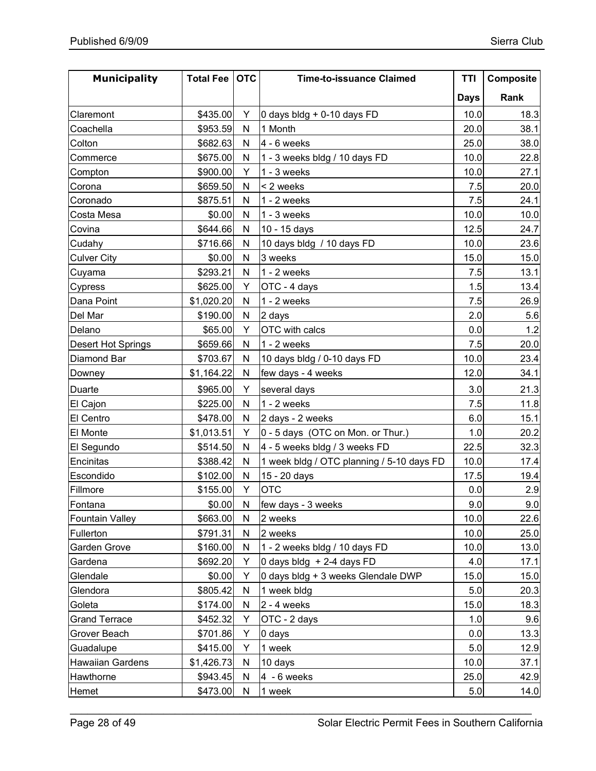| <b>Municipality</b>     | Total Fee   OTC |           | <b>Time-to-issuance Claimed</b>           | TTI         | Composite |
|-------------------------|-----------------|-----------|-------------------------------------------|-------------|-----------|
|                         |                 |           |                                           | <b>Days</b> | Rank      |
| Claremont               | \$435.00        | Y         | 0 days bldg + 0-10 days FD                | 10.0        | 18.3      |
| Coachella               | \$953.59        | N         | 1 Month                                   | 20.0        | 38.1      |
| Colton                  | \$682.63        | N         | $4 - 6$ weeks                             | 25.0        | 38.0      |
| Commerce                | \$675.00        | N         | 1 - 3 weeks bldg / 10 days FD             | 10.0        | 22.8      |
| Compton                 | \$900.00        | Y         | $1 - 3$ weeks                             | 10.0        | 27.1      |
| Corona                  | \$659.50        | N         | < 2 weeks                                 | 7.5         | 20.0      |
| Coronado                | \$875.51        | N         | $1 - 2$ weeks                             | 7.5         | 24.1      |
| Costa Mesa              | \$0.00          | N         | $1 - 3$ weeks                             | 10.0        | 10.0      |
| Covina                  | \$644.66        | N         | 10 - 15 days                              | 12.5        | 24.7      |
| Cudahy                  | \$716.66        | N         | 10 days bldg / 10 days FD                 | 10.0        | 23.6      |
| <b>Culver City</b>      | \$0.00          | N         | 3 weeks                                   | 15.0        | 15.0      |
| Cuyama                  | \$293.21        | N         | $1 - 2$ weeks                             | 7.5         | 13.1      |
| Cypress                 | \$625.00        | Y         | OTC - 4 days                              | 1.5         | 13.4      |
| Dana Point              | \$1,020.20      | N         | $1 - 2$ weeks                             | 7.5         | 26.9      |
| Del Mar                 | \$190.00        | N         | 2 days                                    | 2.0         | 5.6       |
| Delano                  | \$65.00         | Y         | OTC with calcs                            | 0.0         | 1.2       |
| Desert Hot Springs      | \$659.66        | N         | $1 - 2$ weeks                             | 7.5         | 20.0      |
| Diamond Bar             | \$703.67        | N         | 10 days bldg / 0-10 days FD               | 10.0        | 23.4      |
| Downey                  | \$1,164.22      | N         | few days - 4 weeks                        | 12.0        | 34.1      |
| Duarte                  | \$965.00        | Y         | several days                              | 3.0         | 21.3      |
| El Cajon                | \$225.00        | N         | $1 - 2$ weeks                             | 7.5         | 11.8      |
| El Centro               | \$478.00        | N         | 2 days - 2 weeks                          | 6.0         | 15.1      |
| El Monte                | \$1,013.51      | Y         | 0 - 5 days (OTC on Mon. or Thur.)         | 1.0         | 20.2      |
| El Segundo              | \$514.50        | N         | 4 - 5 weeks bldg / 3 weeks FD             | 22.5        | 32.3      |
| Encinitas               | \$388.42        | N         | 1 week bldg / OTC planning / 5-10 days FD | 10.0        | 17.4      |
| Escondido               | \$102.00        | N         | 15 - 20 days                              | 17.5        | 19.4      |
| Fillmore                | \$155.00        | Y         | <b>OTC</b>                                | 0.0         | 2.9       |
| Fontana                 | \$0.00          | N         | few days - 3 weeks                        | 9.0         | 9.0       |
| <b>Fountain Valley</b>  | \$663.00        | N         | 2 weeks                                   | 10.0        | 22.6      |
| Fullerton               | \$791.31        | N         | 2 weeks                                   | 10.0        | 25.0      |
| Garden Grove            | \$160.00        | N         | 1 - 2 weeks bldg / 10 days FD             | 10.0        | 13.0      |
| Gardena                 | \$692.20        | Υ         | 0 days bldg $+ 2-4$ days FD               | 4.0         | 17.1      |
| Glendale                | \$0.00          | Y         | 0 days bldg + 3 weeks Glendale DWP        | 15.0        | 15.0      |
| Glendora                | \$805.42        | ${\sf N}$ | 1 week bldg                               | 5.0         | 20.3      |
| Goleta                  | \$174.00        | N         | $2 - 4$ weeks                             | 15.0        | 18.3      |
| <b>Grand Terrace</b>    | \$452.32        | Y         | OTC - 2 days                              | 1.0         | 9.6       |
| Grover Beach            | \$701.86        | Y         | 0 days                                    | 0.0         | 13.3      |
| Guadalupe               | \$415.00        | Y         | 1 week                                    | 5.0         | 12.9      |
| <b>Hawaiian Gardens</b> | \$1,426.73      | N         | 10 days                                   | 10.0        | 37.1      |
| Hawthorne               | \$943.45        | N         | $4 - 6$ weeks                             | 25.0        | 42.9      |
| Hemet                   | \$473.00        | N         | 1 week                                    | 5.0         | 14.0      |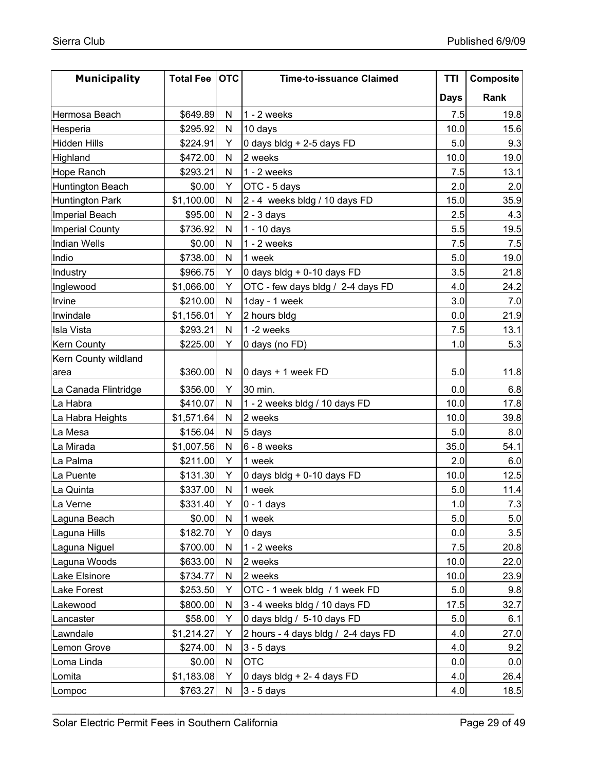| <b>Municipality</b>    | <b>Total Fee</b> | <b>OTC</b> | <b>Time-to-issuance Claimed</b>        | TTI         | Composite |
|------------------------|------------------|------------|----------------------------------------|-------------|-----------|
|                        |                  |            |                                        | <b>Days</b> | Rank      |
| Hermosa Beach          | \$649.89         | N          | $1 - 2$ weeks                          | 7.5         | 19.8      |
| Hesperia               | \$295.92         | N          | 10 days                                | 10.0        | 15.6      |
| <b>Hidden Hills</b>    | \$224.91         | Y          | 0 days bldg + 2-5 days FD              | 5.0         | 9.3       |
| Highland               | \$472.00         | N          | 2 weeks                                | 10.0        | 19.0      |
| <b>Hope Ranch</b>      | \$293.21         | N          | $1 - 2$ weeks                          | 7.5         | 13.1      |
| Huntington Beach       | \$0.00           | Y          | OTC - 5 days                           | 2.0         | 2.0       |
| <b>Huntington Park</b> | \$1,100.00       | N          | 2 - 4 weeks bldg / 10 days FD          | 15.0        | 35.9      |
| Imperial Beach         | \$95.00          | N          | $2 - 3$ days                           | 2.5         | 4.3       |
| <b>Imperial County</b> | \$736.92         | N          | 1 - 10 days                            | 5.5         | 19.5      |
| <b>Indian Wells</b>    | \$0.00           | N          | $1 - 2$ weeks                          | 7.5         | 7.5       |
| Indio                  | \$738.00         | N          | 1 week                                 | 5.0         | 19.0      |
| Industry               | \$966.75         | Y          | 0 days bldg + 0-10 days FD             | 3.5         | 21.8      |
| Inglewood              | \$1,066.00       | Y          | OTC - few days bldg / 2-4 days FD      | 4.0         | 24.2      |
| Irvine                 | \$210.00         | N          | 1day - 1 week                          | 3.0         | 7.0       |
| Irwindale              | \$1,156.01       | Y          | 2 hours bldg                           | 0.0         | 21.9      |
| <b>Isla Vista</b>      | \$293.21         | N          | 1-2 weeks                              | 7.5         | 13.1      |
| <b>Kern County</b>     | \$225.00         | Y          | 0 days (no FD)                         | 1.0         | 5.3       |
| Kern County wildland   |                  |            |                                        |             |           |
| area                   | \$360.00         | N          | $ 0 \text{ days} + 1 \text{ week FD} $ | 5.0         | 11.8      |
| La Canada Flintridge   | \$356.00         | Y          | 30 min.                                | 0.0         | 6.8       |
| La Habra               | \$410.07         | N          | 1 - 2 weeks bldg / 10 days FD          | 10.0        | 17.8      |
| La Habra Heights       | \$1,571.64       | N          | 2 weeks                                | 10.0        | 39.8      |
| La Mesa                | \$156.04         | N          | 5 days                                 | 5.0         | 8.0       |
| La Mirada              | \$1,007.56       | N          | 6 - 8 weeks                            | 35.0        | 54.1      |
| La Palma               | \$211.00         | Y          | 1 week                                 | 2.0         | 6.0       |
| La Puente              | \$131.30         | Y          | 0 days bldg + 0-10 days FD             | 10.0        | 12.5      |
| La Quinta              | \$337.00         | N          | 1 week                                 | 5.0         | 11.4      |
| La Verne               | \$331.40         | Y.         | $0 - 1$ days                           | 1.0         | 7.3       |
| Laguna Beach           | \$0.00           | N          | 1 week                                 | 5.0         | 5.0       |
| Laguna Hills           | \$182.70         | Y          | 0 days                                 | 0.0         | 3.5       |
| Laguna Niguel          | \$700.00         | N          | $1 - 2$ weeks                          | 7.5         | 20.8      |
| Laguna Woods           | \$633.00         | N          | 2 weeks                                | 10.0        | 22.0      |
| Lake Elsinore          | \$734.77         | N          | 2 weeks                                | 10.0        | 23.9      |
| Lake Forest            | \$253.50         | Y          | OTC - 1 week bldg / 1 week FD          | 5.0         | 9.8       |
| Lakewood               | \$800.00         | N          | 3 - 4 weeks bldg / 10 days FD          | 17.5        | 32.7      |
| Lancaster              | \$58.00          | Y          | 0 days bldg / 5-10 days FD             | 5.0         | 6.1       |
| Lawndale               | \$1,214.27       | Y          | 2 hours - 4 days bldg / 2-4 days FD    | 4.0         | 27.0      |
| Lemon Grove            | \$274.00         | N          | $3 - 5$ days                           | 4.0         | 9.2       |
| Loma Linda             | \$0.00           | N          | <b>OTC</b>                             | 0.0         | 0.0       |
| Lomita                 | \$1,183.08       | Υ          | 0 days bldg + 2- 4 days FD             | 4.0         | 26.4      |
| Lompoc                 | \$763.27         | N          | $3 - 5$ days                           | 4.0         | 18.5      |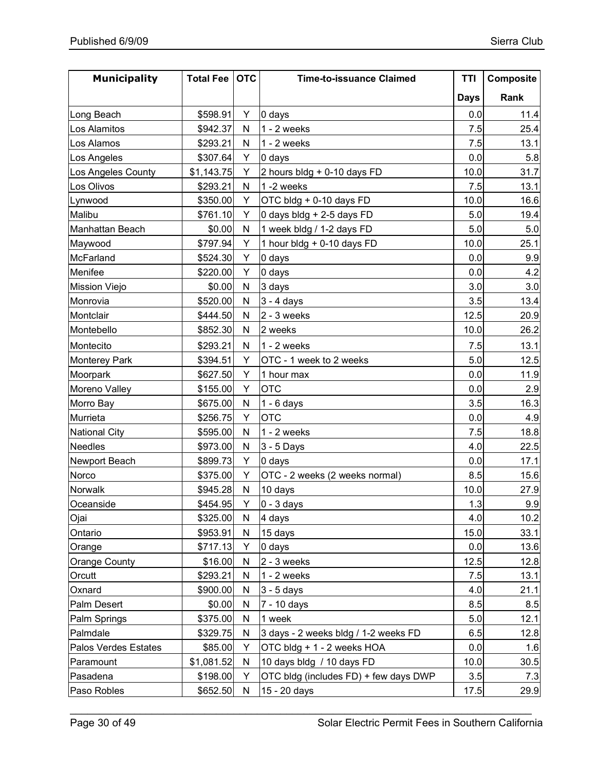| <b>Municipality</b>  | <b>Total Fee</b> | <b>OTC</b> | <b>Time-to-issuance Claimed</b>       | TTI         | Composite |
|----------------------|------------------|------------|---------------------------------------|-------------|-----------|
|                      |                  |            |                                       | <b>Days</b> | Rank      |
| Long Beach           | \$598.91         | Y          | 0 days                                | 0.0         | 11.4      |
| Los Alamitos         | \$942.37         | N          | $1 - 2$ weeks                         | 7.5         | 25.4      |
| Los Alamos           | \$293.21         | N          | $1 - 2$ weeks                         | 7.5         | 13.1      |
| Los Angeles          | \$307.64         | Y          | 0 days                                | 0.0         | 5.8       |
| Los Angeles County   | \$1,143.75       | Υ          | 2 hours bldg + 0-10 days FD           | 10.0        | 31.7      |
| Los Olivos           | \$293.21         | N          | 1-2 weeks                             | 7.5         | 13.1      |
| Lynwood              | \$350.00         | Y          | OTC bldg + 0-10 days FD               | 10.0        | 16.6      |
| Malibu               | \$761.10         | Y          | 0 days bldg + 2-5 days FD             | 5.0         | 19.4      |
| Manhattan Beach      | \$0.00           | N          | 1 week bldg / 1-2 days FD             | 5.0         | 5.0       |
| Maywood              | \$797.94         | Y          | 1 hour bldg + 0-10 days FD            | 10.0        | 25.1      |
| McFarland            | \$524.30         | Y          | 0 days                                | 0.0         | 9.9       |
| Menifee              | \$220.00         | Y          | 0 days                                | 0.0         | 4.2       |
| <b>Mission Viejo</b> | \$0.00           | N          | 3 days                                | 3.0         | 3.0       |
| Monrovia             | \$520.00         | N          | $3 - 4$ days                          | 3.5         | 13.4      |
| Montclair            | \$444.50         | N          | $2 - 3$ weeks                         | 12.5        | 20.9      |
| Montebello           | \$852.30         | N          | 2 weeks                               | 10.0        | 26.2      |
| Montecito            | \$293.21         | N          | $1 - 2$ weeks                         | 7.5         | 13.1      |
| <b>Monterey Park</b> | \$394.51         | Y          | OTC - 1 week to 2 weeks               | 5.0         | 12.5      |
| Moorpark             | \$627.50         | Y          | 1 hour max                            | 0.0         | 11.9      |
| Moreno Valley        | \$155.00         | Y          | <b>OTC</b>                            | 0.0         | 2.9       |
| Morro Bay            | \$675.00         | ${\sf N}$  | $1 - 6$ days                          | 3.5         | 16.3      |
| Murrieta             | \$256.75         | Y          | <b>OTC</b>                            | 0.0         | 4.9       |
| <b>National City</b> | \$595.00         | N          | $1 - 2$ weeks                         | 7.5         | 18.8      |
| <b>Needles</b>       | \$973.00         | N          | 3 - 5 Days                            | 4.0         | 22.5      |
| Newport Beach        | \$899.73         | Y          | 0 days                                | 0.0         | 17.1      |
| Norco                | \$375.00         | Υ          | OTC - 2 weeks (2 weeks normal)        | 8.5         | 15.6      |
| Norwalk              | \$945.28         | N          | 10 days                               | 10.0        | 27.9      |
| Oceanside            | \$454.95         | Y          | $0 - 3$ days                          | 1.3         | 9.9       |
| Ojai                 | \$325.00         | N          | 4 days                                | 4.0         | 10.2      |
| Ontario              | \$953.91         | N          | 15 days                               | 15.0        | 33.1      |
| Orange               | \$717.13         | Y          | 0 days                                | 0.0         | 13.6      |
| <b>Orange County</b> | \$16.00          | N          | $2 - 3$ weeks                         | 12.5        | 12.8      |
| Orcutt               | \$293.21         | N          | $1 - 2$ weeks                         | 7.5         | 13.1      |
| Oxnard               | \$900.00         | N          | $3 - 5$ days                          | 4.0         | 21.1      |
| Palm Desert          | \$0.00           | N          | 7 - 10 days                           | 8.5         | 8.5       |
| Palm Springs         | \$375.00         | N          | 1 week                                | 5.0         | 12.1      |
| Palmdale             | \$329.75         | N          | 3 days - 2 weeks bldg / 1-2 weeks FD  | 6.5         | 12.8      |
| Palos Verdes Estates | \$85.00          | Υ          | OTC bldg + 1 - 2 weeks HOA            | 0.0         | 1.6       |
| Paramount            | \$1,081.52       | N          | 10 days bldg / 10 days FD             | 10.0        | 30.5      |
| Pasadena             | \$198.00         | Y          | OTC bldg (includes FD) + few days DWP | 3.5         | 7.3       |
| Paso Robles          | \$652.50         | ${\sf N}$  | 15 - 20 days                          | 17.5        | 29.9      |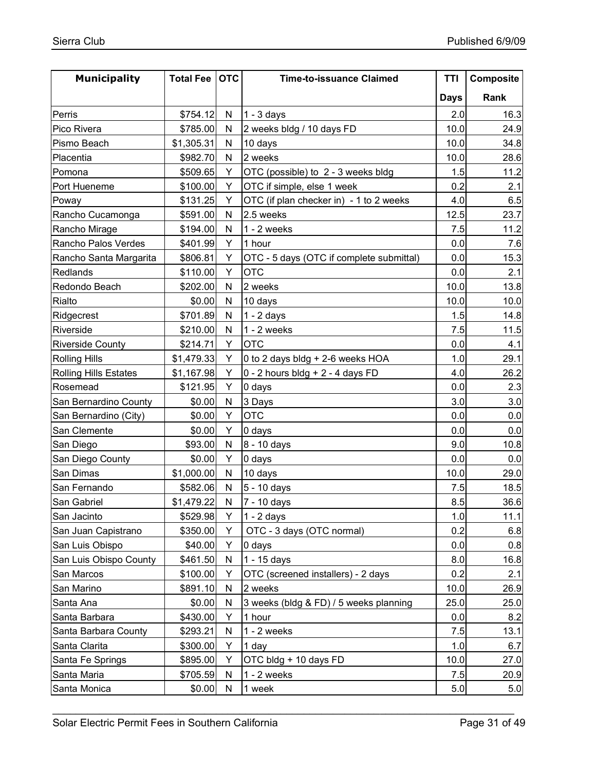| <b>Municipality</b>          | <b>Total Fee</b> | <b>OTC</b> | <b>Time-to-issuance Claimed</b>          | TTI         | Composite |
|------------------------------|------------------|------------|------------------------------------------|-------------|-----------|
|                              |                  |            |                                          | <b>Days</b> | Rank      |
| Perris                       | \$754.12         | N          | $1 - 3$ days                             | 2.0         | 16.3      |
| Pico Rivera                  | \$785.00         | N          | 2 weeks bldg / 10 days FD                | 10.0        | 24.9      |
| Pismo Beach                  | \$1,305.31       | N          | 10 days                                  | 10.0        | 34.8      |
| Placentia                    | \$982.70         | N          | 2 weeks                                  | 10.0        | 28.6      |
| Pomona                       | \$509.65         | Y          | OTC (possible) to 2 - 3 weeks bldg       | 1.5         | 11.2      |
| Port Hueneme                 | \$100.00         | Υ          | OTC if simple, else 1 week               | 0.2         | 2.1       |
| Poway                        | \$131.25         | Y          | OTC (if plan checker in) - 1 to 2 weeks  | 4.0         | 6.5       |
| Rancho Cucamonga             | \$591.00         | N          | 2.5 weeks                                | 12.5        | 23.7      |
| Rancho Mirage                | \$194.00         | Ν          | $1 - 2$ weeks                            | 7.5         | 11.2      |
| Rancho Palos Verdes          | \$401.99         | Υ          | 1 hour                                   | 0.0         | 7.6       |
| Rancho Santa Margarita       | \$806.81         | Y          | OTC - 5 days (OTC if complete submittal) | 0.0         | 15.3      |
| Redlands                     | \$110.00         | Y          | <b>OTC</b>                               | 0.0         | 2.1       |
| Redondo Beach                | \$202.00         | N          | 2 weeks                                  | 10.0        | 13.8      |
| Rialto                       | \$0.00           | ${\sf N}$  | 10 days                                  | 10.0        | 10.0      |
| Ridgecrest                   | \$701.89         | N          | $1 - 2$ days                             | 1.5         | 14.8      |
| Riverside                    | \$210.00         | N          | $1 - 2$ weeks                            | 7.5         | 11.5      |
| <b>Riverside County</b>      | \$214.71         | Υ          | <b>OTC</b>                               | 0.0         | 4.1       |
| <b>Rolling Hills</b>         | \$1,479.33       | Υ          | 0 to 2 days bldg + 2-6 weeks HOA         | 1.0         | 29.1      |
| <b>Rolling Hills Estates</b> | \$1,167.98       | Υ          | $0 - 2$ hours bldg + 2 - 4 days FD       | 4.0         | 26.2      |
| Rosemead                     | \$121.95         | Y          | 0 days                                   | 0.0         | 2.3       |
| San Bernardino County        | \$0.00           | N          | 3 Days                                   | 3.0         | 3.0       |
| San Bernardino (City)        | \$0.00           | Y          | <b>OTC</b>                               | 0.0         | 0.0       |
| San Clemente                 | \$0.00           | Y          | 0 days                                   | 0.0         | 0.0       |
| San Diego                    | \$93.00          | N          | 8 - 10 days                              | 9.0         | 10.8      |
| San Diego County             | \$0.00           | Y          | 0 days                                   | 0.0         | 0.0       |
| San Dimas                    | \$1,000.00       | N          | 10 days                                  | 10.0        | 29.0      |
| San Fernando                 | \$582.06         | N          | 5 - 10 days                              | 7.5         | 18.5      |
| San Gabriel                  | \$1,479.22       | N          | 7 - 10 days                              | 8.5         | 36.6      |
| San Jacinto                  | \$529.98         | Y          | $1 - 2$ days                             | 1.0         | 11.1      |
| San Juan Capistrano          | \$350.00         | Y          | OTC - 3 days (OTC normal)                | 0.2         | 6.8       |
| San Luis Obispo              | \$40.00          | Y          | 0 days                                   | 0.0         | 0.8       |
| San Luis Obispo County       | \$461.50         | N          | 1 - 15 days                              | 8.0         | 16.8      |
| San Marcos                   | \$100.00         | Y          | OTC (screened installers) - 2 days       | 0.2         | 2.1       |
| San Marino                   | \$891.10         | N          | 2 weeks                                  | 10.0        | 26.9      |
| Santa Ana                    | \$0.00           | N          | 3 weeks (bldg & FD) / 5 weeks planning   | 25.0        | 25.0      |
| Santa Barbara                | \$430.00         | Y          | 1 hour                                   | 0.0         | 8.2       |
| Santa Barbara County         | \$293.21         | N          | $1 - 2$ weeks                            | 7.5         | 13.1      |
| Santa Clarita                | \$300.00         | Y          | 1 day                                    | 1.0         | 6.7       |
| Santa Fe Springs             | \$895.00         | Υ          | OTC bldg + 10 days FD                    | 10.0        | 27.0      |
| Santa Maria                  | \$705.59         | N          | 1 - 2 weeks                              | 7.5         | 20.9      |
| Santa Monica                 | \$0.00           | N          | 1 week                                   | 5.0         | 5.0       |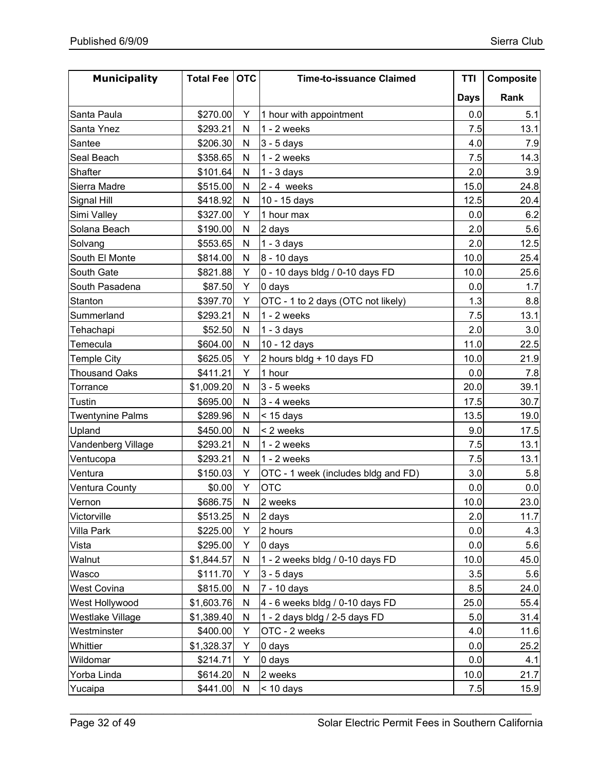| <b>Municipality</b>     | <b>Total Fee</b> | <b>OTC</b> | <b>Time-to-issuance Claimed</b>     | TTI         | Composite |
|-------------------------|------------------|------------|-------------------------------------|-------------|-----------|
|                         |                  |            |                                     | <b>Days</b> | Rank      |
| Santa Paula             | \$270.00         | Y          | 1 hour with appointment             | 0.0         | 5.1       |
| Santa Ynez              | \$293.21         | N          | $1 - 2$ weeks                       | 7.5         | 13.1      |
| Santee                  | \$206.30         | N          | $3 - 5$ days                        | 4.0         | 7.9       |
| Seal Beach              | \$358.65         | N          | $1 - 2$ weeks                       | 7.5         | 14.3      |
| Shafter                 | \$101.64         | N          | $1 - 3$ days                        | 2.0         | 3.9       |
| Sierra Madre            | \$515.00         | N          | $2 - 4$ weeks                       | 15.0        | 24.8      |
| Signal Hill             | \$418.92         | N          | 10 - 15 days                        | 12.5        | 20.4      |
| Simi Valley             | \$327.00         | Y          | 1 hour max                          | 0.0         | 6.2       |
| Solana Beach            | \$190.00         | N          | 2 days                              | 2.0         | 5.6       |
| Solvang                 | \$553.65         | N          | $1 - 3$ days                        | 2.0         | 12.5      |
| South El Monte          | \$814.00         | N          | 8 - 10 days                         | 10.0        | 25.4      |
| South Gate              | \$821.88         | Y          | 0 - 10 days bldg / 0-10 days FD     | 10.0        | 25.6      |
| South Pasadena          | \$87.50          | Y          | 0 days                              | 0.0         | 1.7       |
| Stanton                 | \$397.70         | Y          | OTC - 1 to 2 days (OTC not likely)  | 1.3         | 8.8       |
| Summerland              | \$293.21         | N          | $1 - 2$ weeks                       | 7.5         | 13.1      |
| Tehachapi               | \$52.50          | N          | $1 - 3$ days                        | 2.0         | 3.0       |
| Temecula                | \$604.00         | N          | 10 - 12 days                        | 11.0        | 22.5      |
| <b>Temple City</b>      | \$625.05         | Y          | 2 hours bldg + 10 days FD           | 10.0        | 21.9      |
| <b>Thousand Oaks</b>    | \$411.21         | Y          | 1 hour                              | 0.0         | 7.8       |
| Torrance                | \$1,009.20       | N          | $3 - 5$ weeks                       | 20.0        | 39.1      |
| Tustin                  | \$695.00         | N          | $3 - 4$ weeks                       | 17.5        | 30.7      |
| <b>Twentynine Palms</b> | \$289.96         | N          | $<$ 15 days                         | 13.5        | 19.0      |
| Upland                  | \$450.00         | N          | < 2 weeks                           | 9.0         | 17.5      |
| Vandenberg Village      | \$293.21         | N          | $1 - 2$ weeks                       | 7.5         | 13.1      |
| Ventucopa               | \$293.21         | N          | $1 - 2$ weeks                       | 7.5         | 13.1      |
| Ventura                 | \$150.03         | Y          | OTC - 1 week (includes bldg and FD) | 3.0         | 5.8       |
| Ventura County          | \$0.00           | Y          | <b>OTC</b>                          | 0.0         | 0.0       |
| Vernon                  | \$686.75         | N          | 2 weeks                             | 10.0        | 23.0      |
| Victorville             | \$513.25         | N          | 2 days                              | 2.0         | 11.7      |
| Villa Park              | \$225.00         | Υ          | 2 hours                             | 0.0         | 4.3       |
| Vista                   | \$295.00         | Υ          | 0 days                              | 0.0         | 5.6       |
| Walnut                  | \$1,844.57       | N          | 1 - 2 weeks bldg / 0-10 days FD     | 10.0        | 45.0      |
| Wasco                   | \$111.70         | Υ          | $3 - 5$ days                        | 3.5         | 5.6       |
| West Covina             | \$815.00         | N          | 7 - 10 days                         | 8.5         | 24.0      |
| West Hollywood          | \$1,603.76       | N          | 4 - 6 weeks bldg / 0-10 days FD     | 25.0        | 55.4      |
| <b>Westlake Village</b> | \$1,389.40       | N          | 1 - 2 days bldg / 2-5 days FD       | 5.0         | 31.4      |
| Westminster             | \$400.00         | Υ          | OTC - 2 weeks                       | 4.0         | 11.6      |
| Whittier                | \$1,328.37       | Υ          | 0 days                              | 0.0         | 25.2      |
| Wildomar                | \$214.71         | Y          | 0 days                              | 0.0         | 4.1       |
| Yorba Linda             | \$614.20         | N          | 2 weeks                             | 10.0        | 21.7      |
| Yucaipa                 | \$441.00         | N          | $<$ 10 days                         | 7.5         | 15.9      |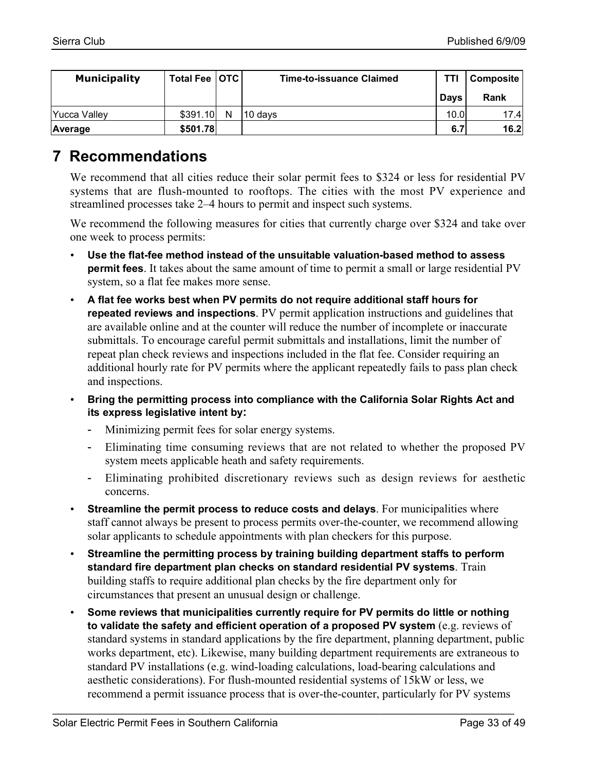| <b>Municipality</b> | Total Fee   OTC |   | Time-to-issuance Claimed | TTI         | Composite |
|---------------------|-----------------|---|--------------------------|-------------|-----------|
|                     |                 |   |                          | <b>Davs</b> | Rank      |
| <b>Yucca Valley</b> | \$391.10        | N | 10 days                  | 10.0        | 17.4      |
| Average             | \$501.78        |   |                          | 6.7         | 16.2      |

## **7 Recommendations**

We recommend that all cities reduce their solar permit fees to \$324 or less for residential PV systems that are flush-mounted to rooftops. The cities with the most PV experience and streamlined processes take 2–4 hours to permit and inspect such systems.

We recommend the following measures for cities that currently charge over \$324 and take over one week to process permits:

- **Use the flat-fee method instead of the unsuitable valuation-based method to assess permit fees**. It takes about the same amount of time to permit a small or large residential PV system, so a flat fee makes more sense.
- **A flat fee works best when PV permits do not require additional staff hours for repeated reviews and inspections**. PV permit application instructions and guidelines that are available online and at the counter will reduce the number of incomplete or inaccurate submittals. To encourage careful permit submittals and installations, limit the number of repeat plan check reviews and inspections included in the flat fee. Consider requiring an additional hourly rate for PV permits where the applicant repeatedly fails to pass plan check and inspections.
- **Bring the permitting process into compliance with the California Solar Rights Act and its express legislative intent by:**
	- Minimizing permit fees for solar energy systems.
	- Eliminating time consuming reviews that are not related to whether the proposed PV system meets applicable heath and safety requirements.
	- Eliminating prohibited discretionary reviews such as design reviews for aesthetic concerns.
- **Streamline the permit process to reduce costs and delays**. For municipalities where staff cannot always be present to process permits over-the-counter, we recommend allowing solar applicants to schedule appointments with plan checkers for this purpose.
- **Streamline the permitting process by training building department staffs to perform standard fire department plan checks on standard residential PV systems**. Train building staffs to require additional plan checks by the fire department only for circumstances that present an unusual design or challenge.
- **Some reviews that municipalities currently require for PV permits do little or nothing to validate the safety and efficient operation of a proposed PV system** (e.g. reviews of standard systems in standard applications by the fire department, planning department, public works department, etc). Likewise, many building department requirements are extraneous to standard PV installations (e.g. wind-loading calculations, load-bearing calculations and aesthetic considerations). For flush-mounted residential systems of 15kW or less, we recommend a permit issuance process that is over-the-counter, particularly for PV systems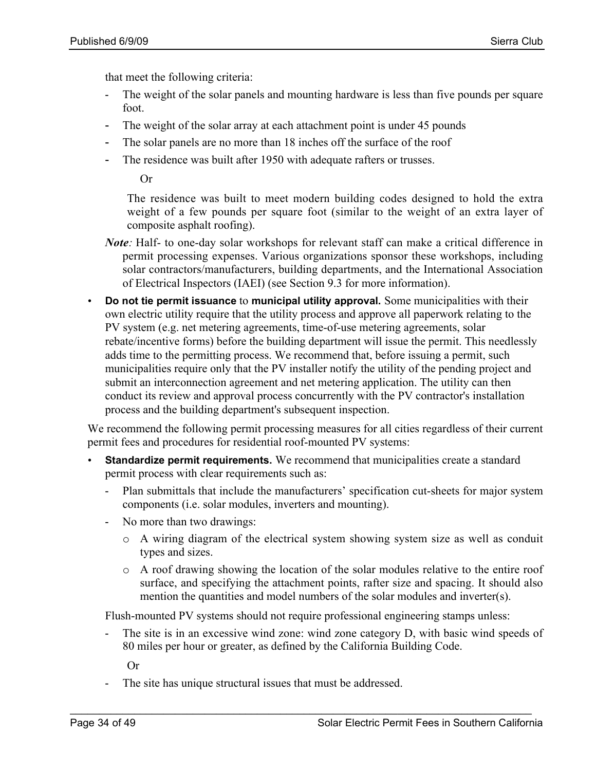that meet the following criteria:

- The weight of the solar panels and mounting hardware is less than five pounds per square foot.
- The weight of the solar array at each attachment point is under 45 pounds
- The solar panels are no more than 18 inches off the surface of the roof
- The residence was built after 1950 with adequate rafters or trusses.

Or

The residence was built to meet modern building codes designed to hold the extra weight of a few pounds per square foot (similar to the weight of an extra layer of composite asphalt roofing).

- *Note*: Half- to one-day solar workshops for relevant staff can make a critical difference in permit processing expenses. Various organizations sponsor these workshops, including solar contractors/manufacturers, building departments, and the International Association of Electrical Inspectors (IAEI) (see Section 9.3 for more information).
- **Do not tie permit issuance** to **municipal utility approval.** Some municipalities with their own electric utility require that the utility process and approve all paperwork relating to the PV system (e.g. net metering agreements, time-of-use metering agreements, solar rebate/incentive forms) before the building department will issue the permit. This needlessly adds time to the permitting process. We recommend that, before issuing a permit, such municipalities require only that the PV installer notify the utility of the pending project and submit an interconnection agreement and net metering application. The utility can then conduct its review and approval process concurrently with the PV contractor's installation process and the building department's subsequent inspection.

We recommend the following permit processing measures for all cities regardless of their current permit fees and procedures for residential roof-mounted PV systems:

- **Standardize permit requirements.** We recommend that municipalities create a standard permit process with clear requirements such as:
	- Plan submittals that include the manufacturers' specification cut-sheets for major system components (i.e. solar modules, inverters and mounting).
	- No more than two drawings:
		- o A wiring diagram of the electrical system showing system size as well as conduit types and sizes.
		- o A roof drawing showing the location of the solar modules relative to the entire roof surface, and specifying the attachment points, rafter size and spacing. It should also mention the quantities and model numbers of the solar modules and inverter(s).

Flush-mounted PV systems should not require professional engineering stamps unless:

\_\_\_\_\_\_\_\_\_\_\_\_\_\_\_\_\_\_\_\_\_\_\_\_\_\_\_\_\_\_\_\_\_\_\_\_\_\_\_\_\_\_\_\_\_\_\_\_\_\_\_\_\_\_\_\_\_\_\_\_\_\_\_\_\_\_\_\_\_\_\_\_\_\_\_\_\_\_\_

- The site is in an excessive wind zone: wind zone category D, with basic wind speeds of 80 miles per hour or greater, as defined by the California Building Code.

Or

- The site has unique structural issues that must be addressed.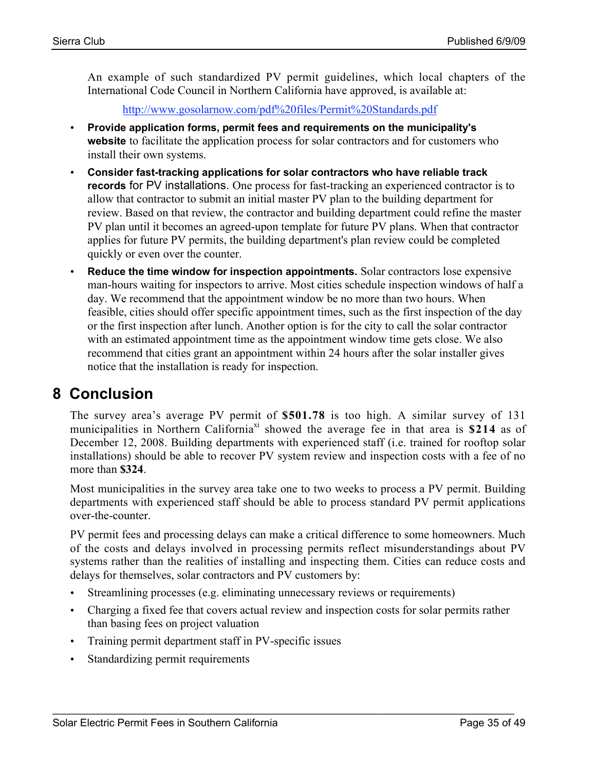An example of such standardized PV permit guidelines, which local chapters of the International Code Council in Northern California have approved, is available at:

http://www.gosolarnow.com/pdf%20files/Permit%20Standards.pdf

- **Provide application forms, permit fees and requirements on the municipality's website** to facilitate the application process for solar contractors and for customers who install their own systems.
- **Consider fast-tracking applications for solar contractors who have reliable track records** for PV installations. One process for fast-tracking an experienced contractor is to allow that contractor to submit an initial master PV plan to the building department for review. Based on that review, the contractor and building department could refine the master PV plan until it becomes an agreed-upon template for future PV plans. When that contractor applies for future PV permits, the building department's plan review could be completed quickly or even over the counter.
- **Reduce the time window for inspection appointments.** Solar contractors lose expensive man-hours waiting for inspectors to arrive. Most cities schedule inspection windows of half a day. We recommend that the appointment window be no more than two hours. When feasible, cities should offer specific appointment times, such as the first inspection of the day or the first inspection after lunch. Another option is for the city to call the solar contractor with an estimated appointment time as the appointment window time gets close. We also recommend that cities grant an appointment within 24 hours after the solar installer gives notice that the installation is ready for inspection.

# **8 Conclusion**

The survey area's average PV permit of \$501.78 is too high. A similar survey of 131 municipalities in Northern California<sup>xi</sup> showed the average fee in that area is  $$214$  as of December 12, 2008. Building departments with experienced staff (i.e. trained for rooftop solar installations) should be able to recover PV system review and inspection costs with a fee of no more than \$324.

Most municipalities in the survey area take one to two weeks to process a PV permit. Building departments with experienced staff should be able to process standard PV permit applications over-the-counter.

PV permit fees and processing delays can make a critical difference to some homeowners. Much of the costs and delays involved in processing permits reflect misunderstandings about PV systems rather than the realities of installing and inspecting them. Cities can reduce costs and delays for themselves, solar contractors and PV customers by:

- Streamlining processes (e.g. eliminating unnecessary reviews or requirements)
- Charging a fixed fee that covers actual review and inspection costs for solar permits rather than basing fees on project valuation

- Training permit department staff in PV-specific issues
- Standardizing permit requirements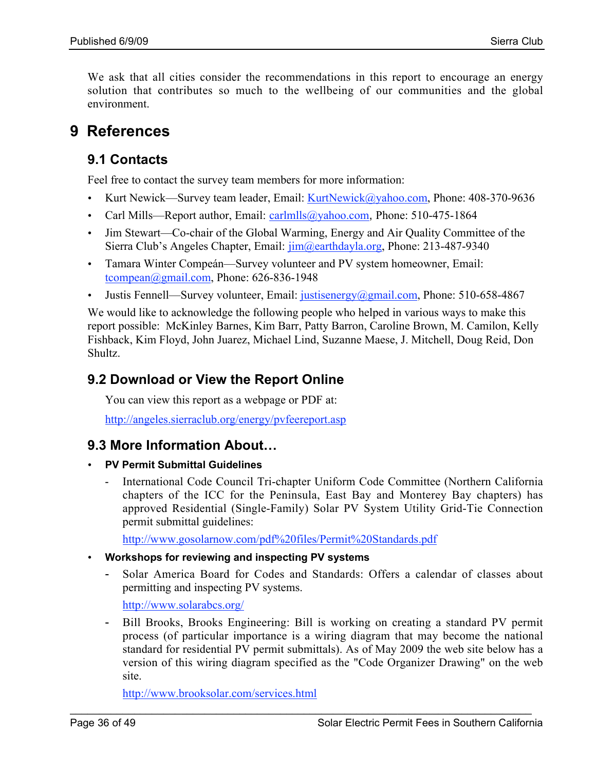We ask that all cities consider the recommendations in this report to encourage an energy solution that contributes so much to the wellbeing of our communities and the global environment.

# **9 References**

### **9.1 Contacts**

Feel free to contact the survey team members for more information:

- Kurt Newick—Survey team leader, Email:  $KurtNewick@yahoo.com$ , Phone: 408-370-9636
- Carl Mills—Report author, Email: carlmlls@yahoo.com, Phone: 510-475-1864
- Jim Stewart—Co-chair of the Global Warming, Energy and Air Quality Committee of the Sierra Club's Angeles Chapter, Email: jim@earthdayla.org, Phone: 213-487-9340
- Tamara Winter Compeán—Survey volunteer and PV system homeowner, Email: tcompean@gmail.com, Phone: 626-836-1948
- Justis Fennell—Survey volunteer, Email: justisenergy@gmail.com, Phone: 510-658-4867

We would like to acknowledge the following people who helped in various ways to make this report possible: McKinley Barnes, Kim Barr, Patty Barron, Caroline Brown, M. Camilon, Kelly Fishback, Kim Floyd, John Juarez, Michael Lind, Suzanne Maese, J. Mitchell, Doug Reid, Don Shultz.

### **9.2 Download or View the Report Online**

You can view this report as a webpage or PDF at:

http://angeles.sierraclub.org/energy/pvfeereport.asp

### **9.3 More Information About…**

- **PV Permit Submittal Guidelines**
	- International Code Council Tri-chapter Uniform Code Committee (Northern California chapters of the ICC for the Peninsula, East Bay and Monterey Bay chapters) has approved Residential (Single-Family) Solar PV System Utility Grid-Tie Connection permit submittal guidelines:

http://www.gosolarnow.com/pdf%20files/Permit%20Standards.pdf

#### • **Workshops for reviewing and inspecting PV systems**

- Solar America Board for Codes and Standards: Offers a calendar of classes about permitting and inspecting PV systems.

http://www.solarabcs.org/

- Bill Brooks, Brooks Engineering: Bill is working on creating a standard PV permit process (of particular importance is a wiring diagram that may become the national standard for residential PV permit submittals). As of May 2009 the web site below has a version of this wiring diagram specified as the "Code Organizer Drawing" on the web site.

\_\_\_\_\_\_\_\_\_\_\_\_\_\_\_\_\_\_\_\_\_\_\_\_\_\_\_\_\_\_\_\_\_\_\_\_\_\_\_\_\_\_\_\_\_\_\_\_\_\_\_\_\_\_\_\_\_\_\_\_\_\_\_\_\_\_\_\_\_\_\_\_\_\_\_\_\_\_\_

http://www.brooksolar.com/services.html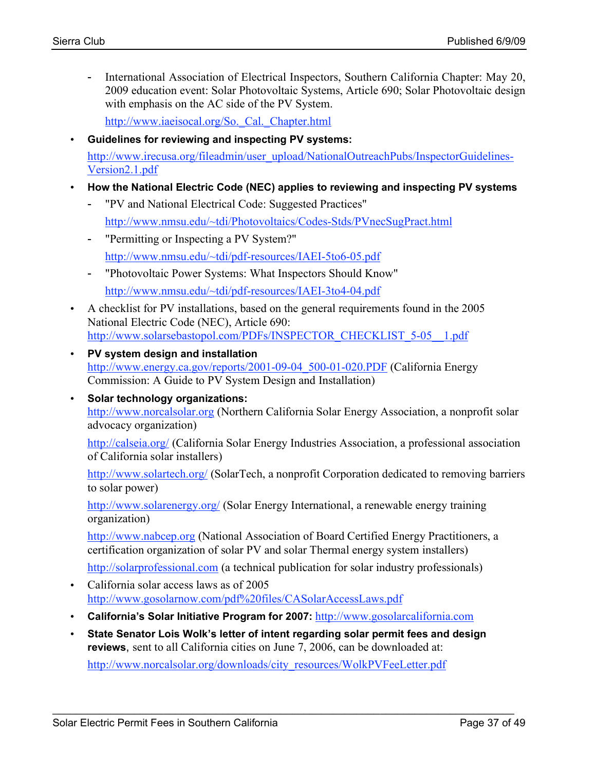- International Association of Electrical Inspectors, Southern California Chapter: May 20, 2009 education event: Solar Photovoltaic Systems, Article 690; Solar Photovoltaic design with emphasis on the AC side of the PV System.

http://www.iaeisocal.org/So.\_Cal.\_Chapter.html

- **Guidelines for reviewing and inspecting PV systems:** http://www.irecusa.org/fileadmin/user\_upload/NationalOutreachPubs/InspectorGuidelines-Version2.1.pdf
- **How the National Electric Code (NEC) applies to reviewing and inspecting PV systems**
	- "PV and National Electrical Code: Suggested Practices" http://www.nmsu.edu/~tdi/Photovoltaics/Codes-Stds/PVnecSugPract.html
	- "Permitting or Inspecting a PV System?" http://www.nmsu.edu/~tdi/pdf-resources/IAEI-5to6-05.pdf
	- "Photovoltaic Power Systems: What Inspectors Should Know" http://www.nmsu.edu/~tdi/pdf-resources/IAEI-3to4-04.pdf
- A checklist for PV installations, based on the general requirements found in the 2005 National Electric Code (NEC), Article 690: http://www.solarsebastopol.com/PDFs/INSPECTOR\_CHECKLIST\_5-05\_\_1.pdf
- **PV system design and installation** http://www.energy.ca.gov/reports/2001-09-04\_500-01-020.PDF (California Energy Commission: A Guide to PV System Design and Installation)
- **Solar technology organizations:** http://www.norcalsolar.org (Northern California Solar Energy Association, a nonprofit solar advocacy organization)

http://calseia.org/ (California Solar Energy Industries Association, a professional association of California solar installers)

http://www.solartech.org/ (SolarTech, a nonprofit Corporation dedicated to removing barriers to solar power)

http://www.solarenergy.org/ (Solar Energy International, a renewable energy training organization)

http://www.nabcep.org (National Association of Board Certified Energy Practitioners, a certification organization of solar PV and solar Thermal energy system installers)

http://solarprofessional.com (a technical publication for solar industry professionals)

- California solar access laws as of 2005 http://www.gosolarnow.com/pdf%20files/CASolarAccessLaws.pdf
- **California's Solar Initiative Program for 2007:** http://www.gosolarcalifornia.com
- **State Senator Lois Wolk's letter of intent regarding solar permit fees and design reviews**, sent to all California cities on June 7, 2006, can be downloaded at:

\_\_\_\_\_\_\_\_\_\_\_\_\_\_\_\_\_\_\_\_\_\_\_\_\_\_\_\_\_\_\_\_\_\_\_\_\_\_\_\_\_\_\_\_\_\_\_\_\_\_\_\_\_\_\_\_\_\_\_\_\_\_\_\_\_\_\_\_\_\_\_\_\_\_\_\_\_\_\_

http://www.norcalsolar.org/downloads/city\_resources/WolkPVFeeLetter.pdf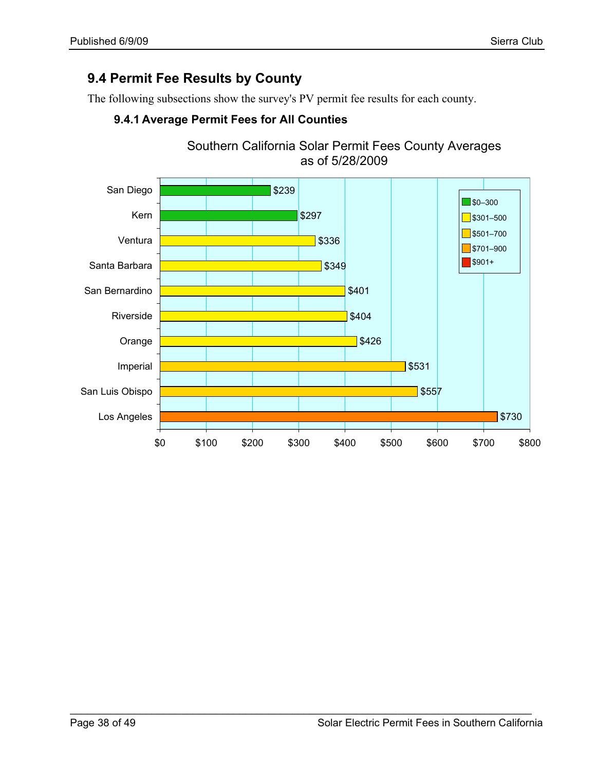### **9.4 Permit Fee Results by County**

The following subsections show the survey's PV permit fee results for each county.



\_\_\_\_\_\_\_\_\_\_\_\_\_\_\_\_\_\_\_\_\_\_\_\_\_\_\_\_\_\_\_\_\_\_\_\_\_\_\_\_\_\_\_\_\_\_\_\_\_\_\_\_\_\_\_\_\_\_\_\_\_\_\_\_\_\_\_\_\_\_\_\_\_\_\_\_\_\_\_

### **9.4.1 Average Permit Fees for All Counties**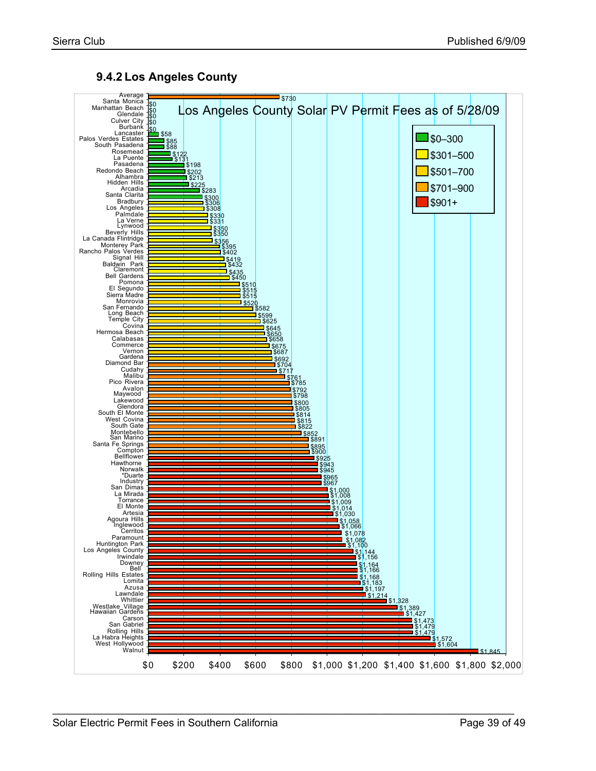

#### **9.4.2 Los Angeles County**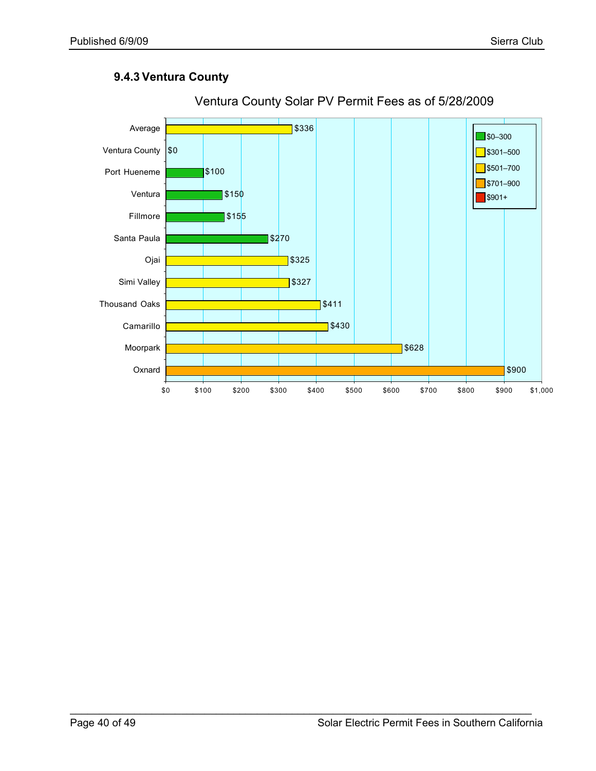#### **9.4.3 Ventura County**



\_\_\_\_\_\_\_\_\_\_\_\_\_\_\_\_\_\_\_\_\_\_\_\_\_\_\_\_\_\_\_\_\_\_\_\_\_\_\_\_\_\_\_\_\_\_\_\_\_\_\_\_\_\_\_\_\_\_\_\_\_\_\_\_\_\_\_\_\_\_\_\_\_\_\_\_\_\_\_

#### Ventura County Solar PV Permit Fees as of 5/28/2009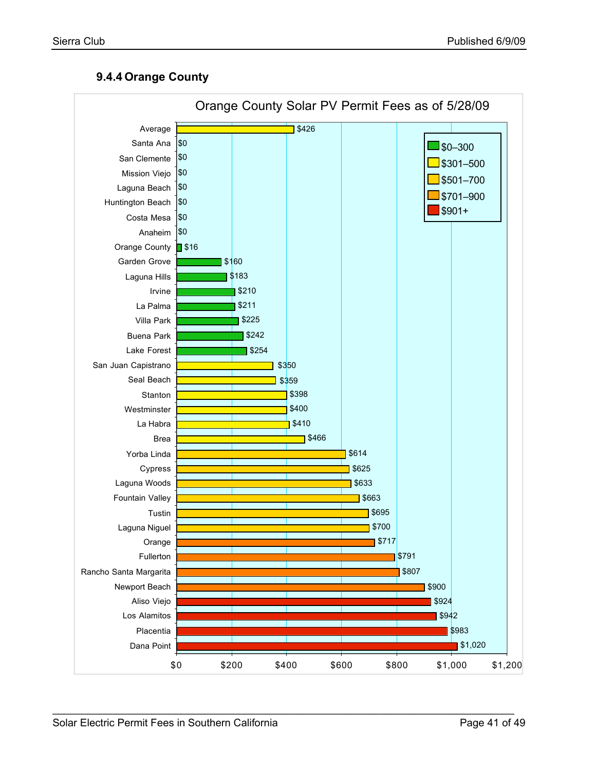#### **9.4.4 Orange County**

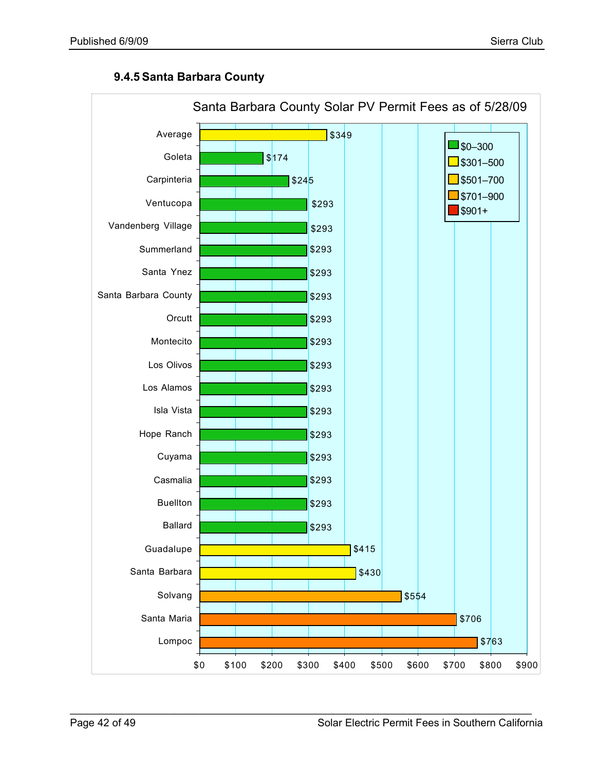#### **9.4.5 Santa Barbara County**

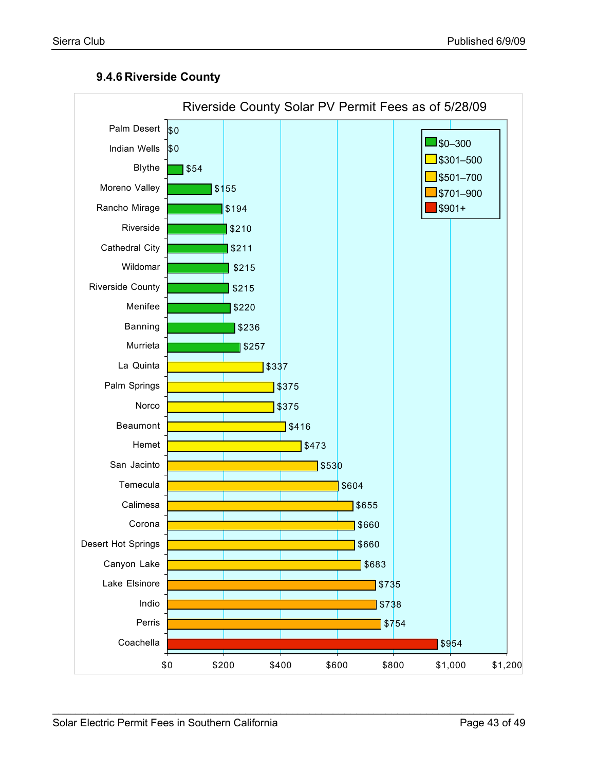#### **9.4.6 Riverside County**

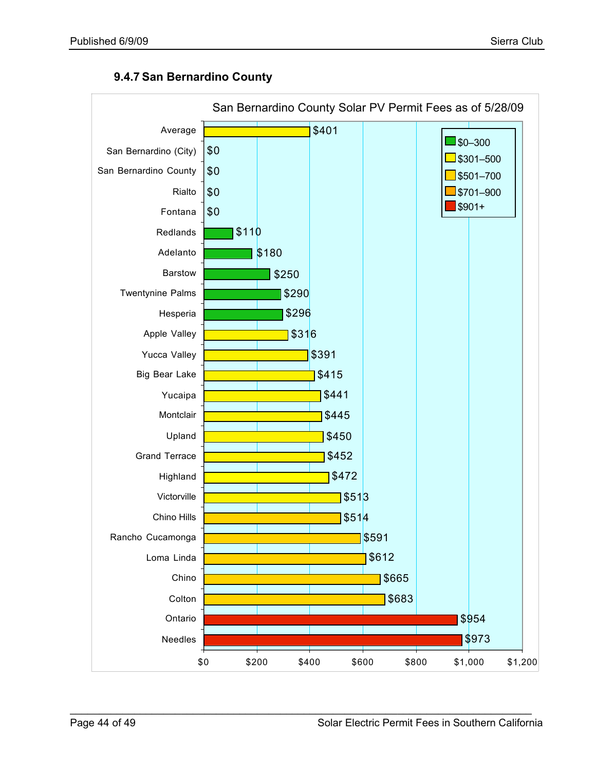

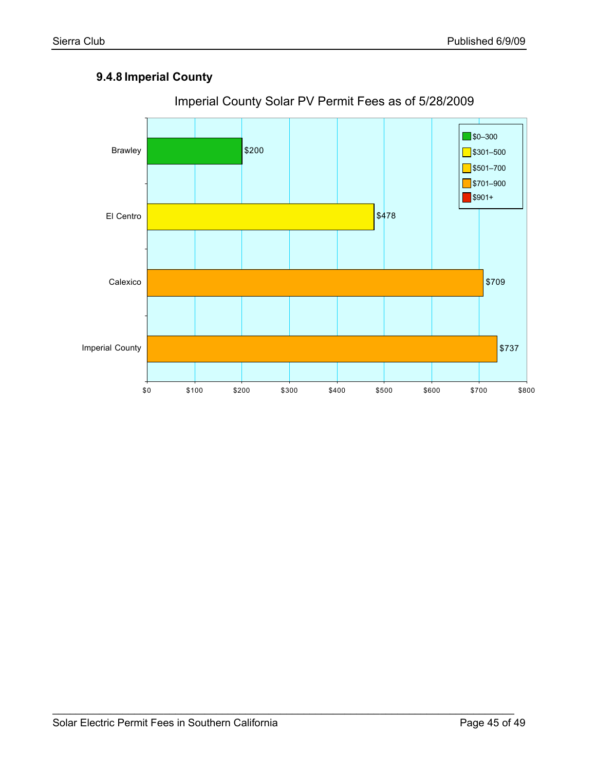### **9.4.8 Imperial County**



\_\_\_\_\_\_\_\_\_\_\_\_\_\_\_\_\_\_\_\_\_\_\_\_\_\_\_\_\_\_\_\_\_\_\_\_\_\_\_\_\_\_\_\_\_\_\_\_\_\_\_\_\_\_\_\_\_\_\_\_\_\_\_\_\_\_\_\_\_\_\_\_\_\_\_\_\_\_\_

### Imperial County Solar PV Permit Fees as of 5/28/2009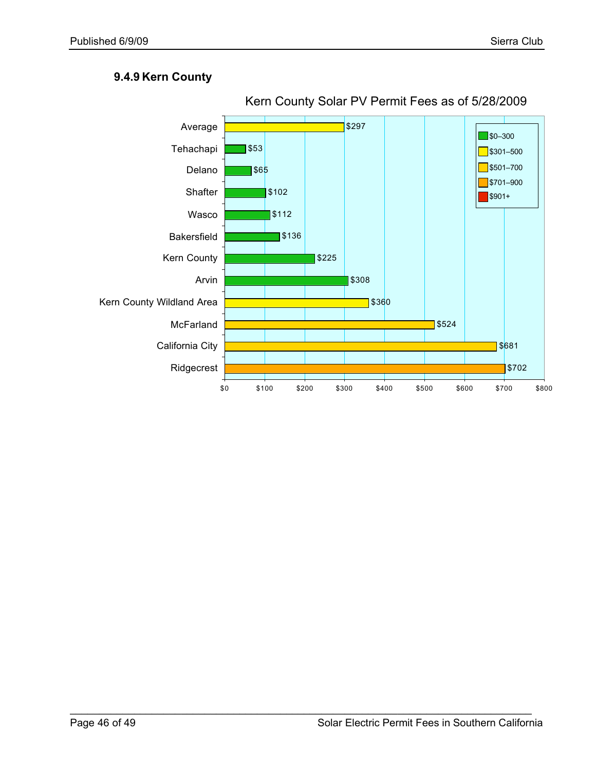#### **9.4.9 Kern County**

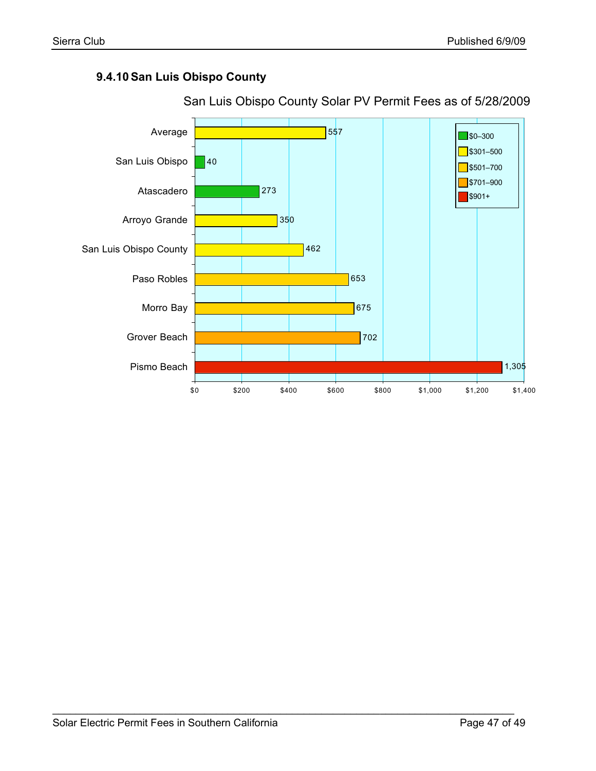#### **9.4.10San Luis Obispo County**



\_\_\_\_\_\_\_\_\_\_\_\_\_\_\_\_\_\_\_\_\_\_\_\_\_\_\_\_\_\_\_\_\_\_\_\_\_\_\_\_\_\_\_\_\_\_\_\_\_\_\_\_\_\_\_\_\_\_\_\_\_\_\_\_\_\_\_\_\_\_\_\_\_\_\_\_\_\_\_

San Luis Obispo County Solar PV Permit Fees as of 5/28/2009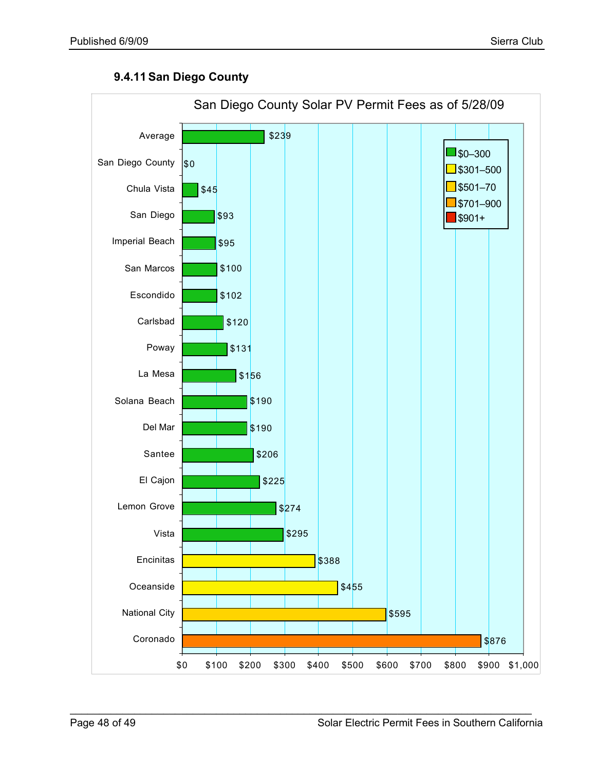#### **9.4.11San Diego County**